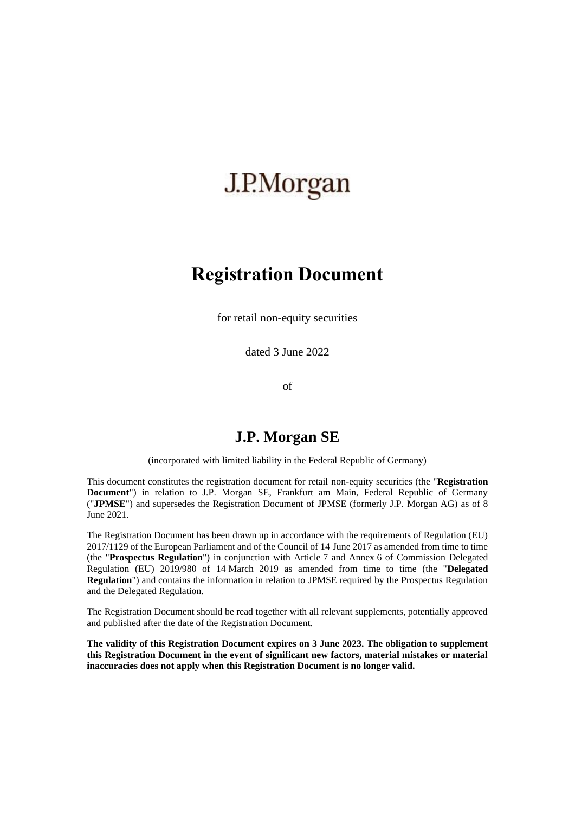# J.P.Morgan

# **Registration Document**

for retail non-equity securities

dated 3 June 2022

of

## **J.P. Morgan SE**

(incorporated with limited liability in the Federal Republic of Germany)

This document constitutes the registration document for retail non-equity securities (the "**Registration Document**") in relation to J.P. Morgan SE, Frankfurt am Main, Federal Republic of Germany ("**JPMSE**") and supersedes the Registration Document of JPMSE (formerly J.P. Morgan AG) as of 8 June 2021.

The Registration Document has been drawn up in accordance with the requirements of Regulation (EU) 2017/1129 of the European Parliament and of the Council of 14 June 2017 as amended from time to time (the "**Prospectus Regulation**") in conjunction with Article 7 and Annex 6 of Commission Delegated Regulation (EU) 2019/980 of 14 March 2019 as amended from time to time (the "**Delegated Regulation**") and contains the information in relation to JPMSE required by the Prospectus Regulation and the Delegated Regulation.

The Registration Document should be read together with all relevant supplements, potentially approved and published after the date of the Registration Document.

**The validity of this Registration Document expires on 3 June 2023. The obligation to supplement this Registration Document in the event of significant new factors, material mistakes or material inaccuracies does not apply when this Registration Document is no longer valid.**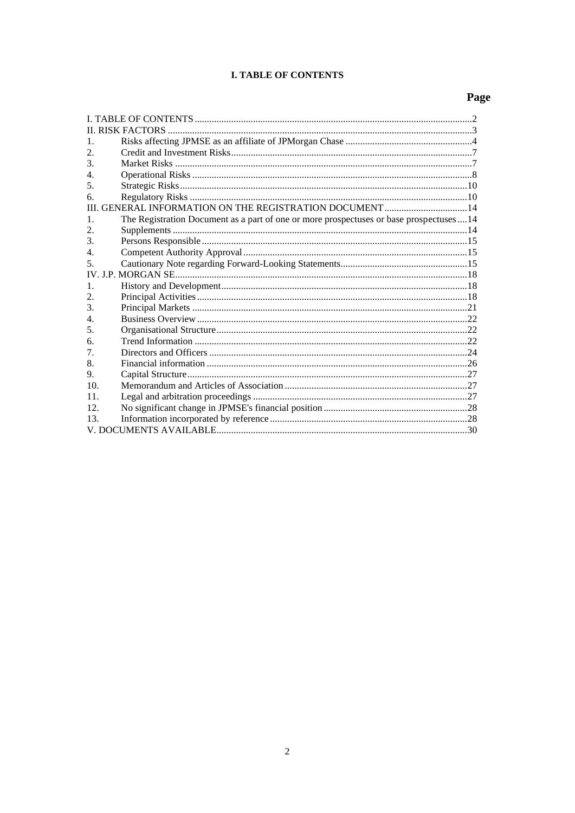## **I. TABLE OF CONTENTS**

# Page

<span id="page-1-0"></span>

| 1.                          |                                                                                          |  |
|-----------------------------|------------------------------------------------------------------------------------------|--|
| 2.                          |                                                                                          |  |
| $\mathcal{F}_{\mathcal{L}}$ |                                                                                          |  |
| 4.                          |                                                                                          |  |
| 5.                          |                                                                                          |  |
| б.                          |                                                                                          |  |
| Ш                           | GENERAL INFORMATION ON THE REGISTRATION DOCUMENT  14                                     |  |
| 1.                          | The Registration Document as a part of one or more prospectuses or base prospectuses  14 |  |
| 2.                          |                                                                                          |  |
| $\mathcal{F}_{\mathcal{L}}$ |                                                                                          |  |
| 4.                          |                                                                                          |  |
| 5                           |                                                                                          |  |
|                             |                                                                                          |  |
| $\mathbf{1}$ .              |                                                                                          |  |
| 2.                          |                                                                                          |  |
| $\mathcal{F}_{\mathcal{L}}$ |                                                                                          |  |
| 4.                          |                                                                                          |  |
| 5.                          |                                                                                          |  |
| 6.                          |                                                                                          |  |
| $7_{\cdot}$                 |                                                                                          |  |
| 8.                          |                                                                                          |  |
| 9.                          |                                                                                          |  |
| 10.                         |                                                                                          |  |
| 11.                         |                                                                                          |  |
| 12.                         |                                                                                          |  |
| 13.                         |                                                                                          |  |
|                             |                                                                                          |  |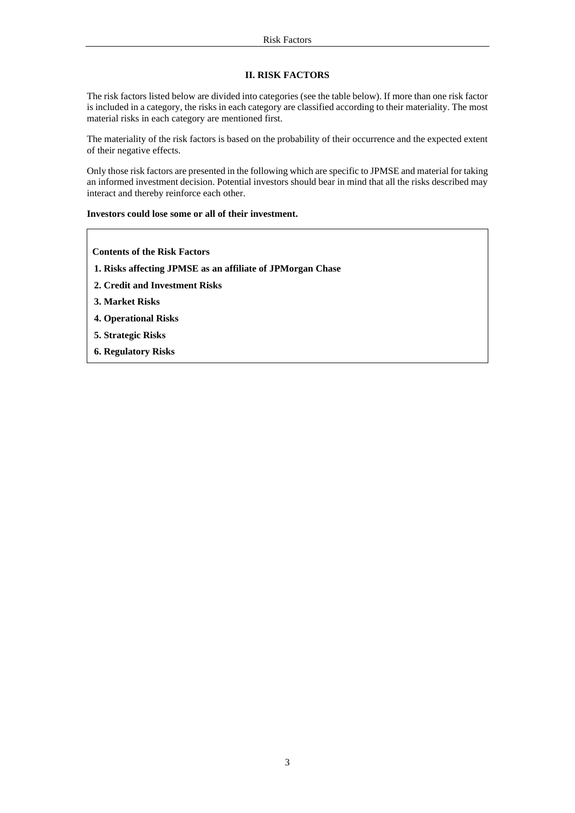## **II. RISK FACTORS**

<span id="page-2-0"></span>The risk factors listed below are divided into categories (see the table below). If more than one risk factor is included in a category, the risks in each category are classified according to their materiality. The most material risks in each category are mentioned first.

The materiality of the risk factors is based on the probability of their occurrence and the expected extent of their negative effects.

Only those risk factors are presented in the following which are specific to JPMSE and material for taking an informed investment decision. Potential investors should bear in mind that all the risks described may interact and thereby reinforce each other.

## **Investors could lose some or all of their investment.**

**Contents of the Risk Factors**

- **1. Risks affecting JPMSE as an affiliate of JPMorgan Chase**
- **2. Credit and Investment Risks**
- **3. Market Risks**
- **4. Operational Risks**
- **5. Strategic Risks**
- **6. Regulatory Risks**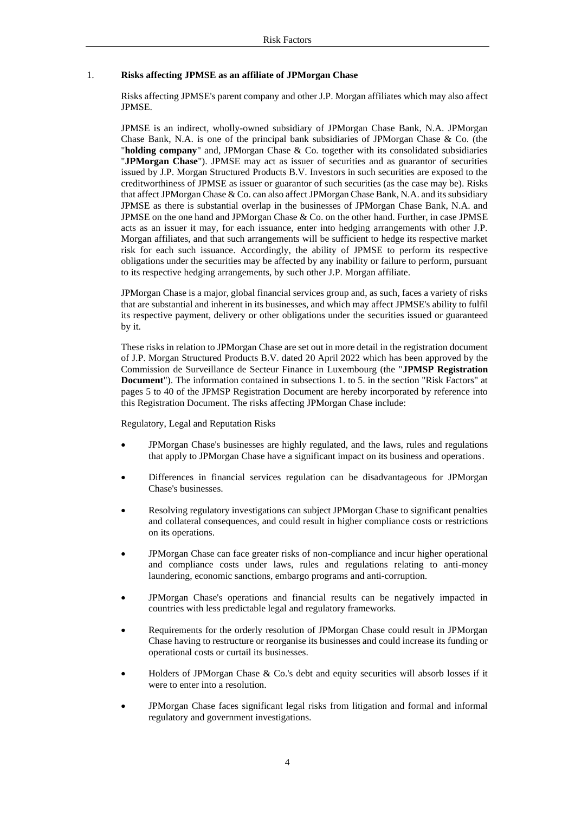## <span id="page-3-0"></span>1. **Risks affecting JPMSE as an affiliate of JPMorgan Chase**

Risks affecting JPMSE's parent company and other J.P. Morgan affiliates which may also affect JPMSE.

JPMSE is an indirect, wholly-owned subsidiary of JPMorgan Chase Bank, N.A. JPMorgan Chase Bank, N.A. is one of the principal bank subsidiaries of JPMorgan Chase & Co. (the "**holding company**" and, JPMorgan Chase & Co. together with its consolidated subsidiaries "**JPMorgan Chase**"). JPMSE may act as issuer of securities and as guarantor of securities issued by J.P. Morgan Structured Products B.V. Investors in such securities are exposed to the creditworthiness of JPMSE as issuer or guarantor of such securities (as the case may be). Risks that affect JPMorgan Chase & Co. can also affect JPMorgan Chase Bank, N.A. and its subsidiary JPMSE as there is substantial overlap in the businesses of JPMorgan Chase Bank, N.A. and JPMSE on the one hand and JPMorgan Chase & Co. on the other hand. Further, in case JPMSE acts as an issuer it may, for each issuance, enter into hedging arrangements with other J.P. Morgan affiliates, and that such arrangements will be sufficient to hedge its respective market risk for each such issuance. Accordingly, the ability of JPMSE to perform its respective obligations under the securities may be affected by any inability or failure to perform, pursuant to its respective hedging arrangements, by such other J.P. Morgan affiliate.

JPMorgan Chase is a major, global financial services group and, as such, faces a variety of risks that are substantial and inherent in its businesses, and which may affect JPMSE's ability to fulfil its respective payment, delivery or other obligations under the securities issued or guaranteed by it.

These risks in relation to JPMorgan Chase are set out in more detail in the registration document of J.P. Morgan Structured Products B.V. dated 20 April 2022 which has been approved by the Commission de Surveillance de Secteur Finance in Luxembourg (the "**JPMSP Registration Document**"). The information contained in subsections 1. to 5. in the section "Risk Factors" at pages 5 to 40 of the JPMSP Registration Document are hereby incorporated by reference into this Registration Document. The risks affecting JPMorgan Chase include:

Regulatory, Legal and Reputation Risks

- JPMorgan Chase's businesses are highly regulated, and the laws, rules and regulations that apply to JPMorgan Chase have a significant impact on its business and operations.
- Differences in financial services regulation can be disadvantageous for JPMorgan Chase's businesses.
- Resolving regulatory investigations can subject JPMorgan Chase to significant penalties and collateral consequences, and could result in higher compliance costs or restrictions on its operations.
- JPMorgan Chase can face greater risks of non-compliance and incur higher operational and compliance costs under laws, rules and regulations relating to anti-money laundering, economic sanctions, embargo programs and anti-corruption.
- JPMorgan Chase's operations and financial results can be negatively impacted in countries with less predictable legal and regulatory frameworks.
- Requirements for the orderly resolution of JPMorgan Chase could result in JPMorgan Chase having to restructure or reorganise its businesses and could increase its funding or operational costs or curtail its businesses.
- Holders of JPMorgan Chase  $\&$  Co.'s debt and equity securities will absorb losses if it were to enter into a resolution.
- JPMorgan Chase faces significant legal risks from litigation and formal and informal regulatory and government investigations.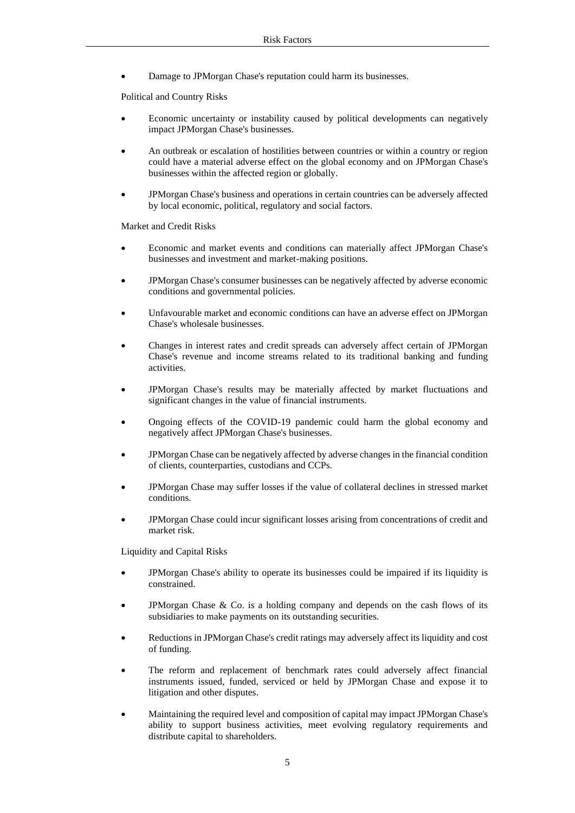• Damage to JPMorgan Chase's reputation could harm its businesses.

Political and Country Risks

- Economic uncertainty or instability caused by political developments can negatively impact JPMorgan Chase's businesses.
- An outbreak or escalation of hostilities between countries or within a country or region could have a material adverse effect on the global economy and on JPMorgan Chase's businesses within the affected region or globally.
- JPMorgan Chase's business and operations in certain countries can be adversely affected by local economic, political, regulatory and social factors.

Market and Credit Risks

- Economic and market events and conditions can materially affect JPMorgan Chase's businesses and investment and market-making positions.
- JPMorgan Chase's consumer businesses can be negatively affected by adverse economic conditions and governmental policies.
- Unfavourable market and economic conditions can have an adverse effect on JPMorgan Chase's wholesale businesses.
- Changes in interest rates and credit spreads can adversely affect certain of JPMorgan Chase's revenue and income streams related to its traditional banking and funding activities.
- JPMorgan Chase's results may be materially affected by market fluctuations and significant changes in the value of financial instruments.
- Ongoing effects of the COVID-19 pandemic could harm the global economy and negatively affect JPMorgan Chase's businesses.
- JPMorgan Chase can be negatively affected by adverse changes in the financial condition of clients, counterparties, custodians and CCPs.
- JPMorgan Chase may suffer losses if the value of collateral declines in stressed market conditions.
- JPMorgan Chase could incur significant losses arising from concentrations of credit and market risk.

Liquidity and Capital Risks

- JPMorgan Chase's ability to operate its businesses could be impaired if its liquidity is constrained.
- JPMorgan Chase  $\&$  Co. is a holding company and depends on the cash flows of its subsidiaries to make payments on its outstanding securities.
- Reductions in JPMorgan Chase's credit ratings may adversely affect its liquidity and cost of funding.
- The reform and replacement of benchmark rates could adversely affect financial instruments issued, funded, serviced or held by JPMorgan Chase and expose it to litigation and other disputes.
- Maintaining the required level and composition of capital may impact JPMorgan Chase's ability to support business activities, meet evolving regulatory requirements and distribute capital to shareholders.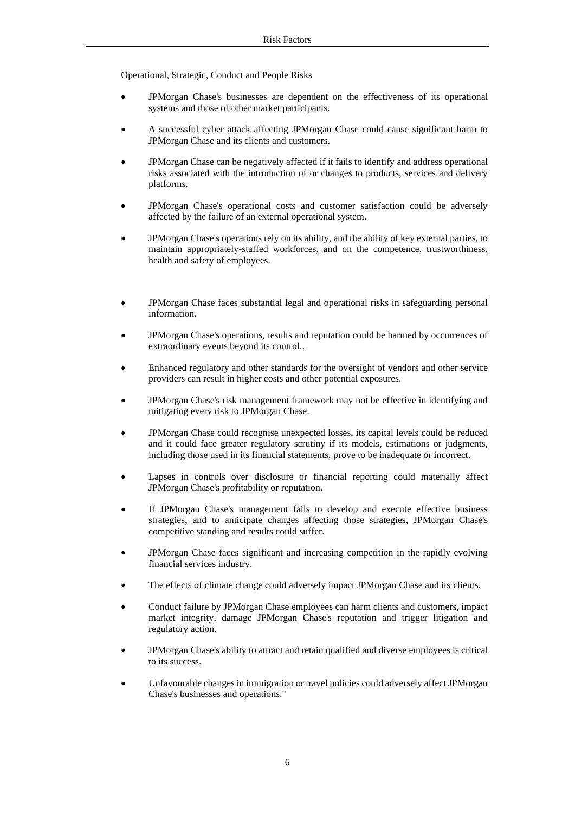Operational, Strategic, Conduct and People Risks

- JPMorgan Chase's businesses are dependent on the effectiveness of its operational systems and those of other market participants.
- A successful cyber attack affecting JPMorgan Chase could cause significant harm to JPMorgan Chase and its clients and customers.
- JPMorgan Chase can be negatively affected if it fails to identify and address operational risks associated with the introduction of or changes to products, services and delivery platforms.
- JPMorgan Chase's operational costs and customer satisfaction could be adversely affected by the failure of an external operational system.
- JPMorgan Chase's operations rely on its ability, and the ability of key external parties, to maintain appropriately-staffed workforces, and on the competence, trustworthiness, health and safety of employees.
- JPMorgan Chase faces substantial legal and operational risks in safeguarding personal information.
- JPMorgan Chase's operations, results and reputation could be harmed by occurrences of extraordinary events beyond its control..
- Enhanced regulatory and other standards for the oversight of vendors and other service providers can result in higher costs and other potential exposures.
- JPMorgan Chase's risk management framework may not be effective in identifying and mitigating every risk to JPMorgan Chase.
- JPMorgan Chase could recognise unexpected losses, its capital levels could be reduced and it could face greater regulatory scrutiny if its models, estimations or judgments, including those used in its financial statements, prove to be inadequate or incorrect.
- Lapses in controls over disclosure or financial reporting could materially affect JPMorgan Chase's profitability or reputation.
- If JPMorgan Chase's management fails to develop and execute effective business strategies, and to anticipate changes affecting those strategies, JPMorgan Chase's competitive standing and results could suffer.
- JPMorgan Chase faces significant and increasing competition in the rapidly evolving financial services industry.
- The effects of climate change could adversely impact JPMorgan Chase and its clients.
- Conduct failure by JPMorgan Chase employees can harm clients and customers, impact market integrity, damage JPMorgan Chase's reputation and trigger litigation and regulatory action.
- JPMorgan Chase's ability to attract and retain qualified and diverse employees is critical to its success.
- Unfavourable changes in immigration or travel policies could adversely affect JPMorgan Chase's businesses and operations."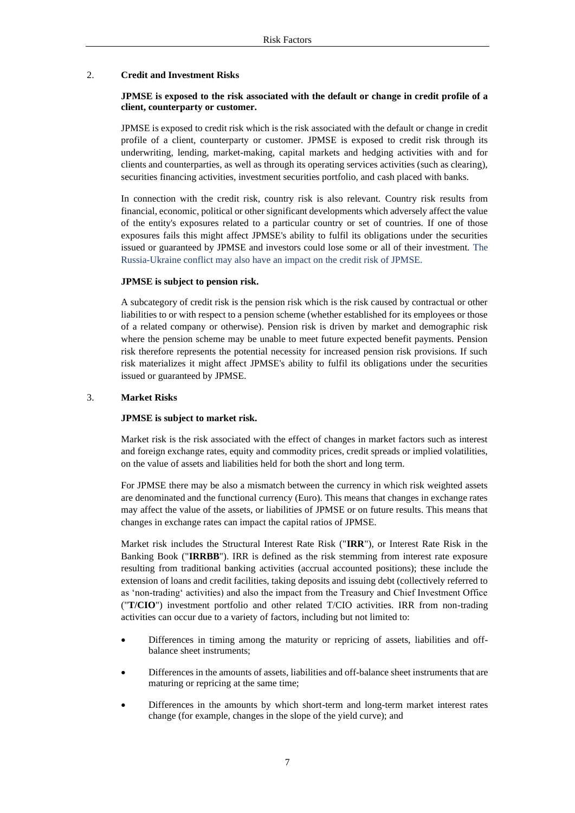## <span id="page-6-0"></span>2. **Credit and Investment Risks**

## **JPMSE is exposed to the risk associated with the default or change in credit profile of a client, counterparty or customer.**

JPMSE is exposed to credit risk which is the risk associated with the default or change in credit profile of a client, counterparty or customer. JPMSE is exposed to credit risk through its underwriting, lending, market-making, capital markets and hedging activities with and for clients and counterparties, as well as through its operating services activities (such as clearing), securities financing activities, investment securities portfolio, and cash placed with banks.

In connection with the credit risk, country risk is also relevant. Country risk results from financial, economic, political or other significant developments which adversely affect the value of the entity's exposures related to a particular country or set of countries. If one of those exposures fails this might affect JPMSE's ability to fulfil its obligations under the securities issued or guaranteed by JPMSE and investors could lose some or all of their investment. The Russia-Ukraine conflict may also have an impact on the credit risk of JPMSE.

## **JPMSE is subject to pension risk.**

A subcategory of credit risk is the pension risk which is the risk caused by contractual or other liabilities to or with respect to a pension scheme (whether established for its employees or those of a related company or otherwise). Pension risk is driven by market and demographic risk where the pension scheme may be unable to meet future expected benefit payments. Pension risk therefore represents the potential necessity for increased pension risk provisions. If such risk materializes it might affect JPMSE's ability to fulfil its obligations under the securities issued or guaranteed by JPMSE.

## <span id="page-6-1"></span>3. **Market Risks**

## **JPMSE is subject to market risk.**

Market risk is the risk associated with the effect of changes in market factors such as interest and foreign exchange rates, equity and commodity prices, credit spreads or implied volatilities, on the value of assets and liabilities held for both the short and long term.

For JPMSE there may be also a mismatch between the currency in which risk weighted assets are denominated and the functional currency (Euro). This means that changes in exchange rates may affect the value of the assets, or liabilities of JPMSE or on future results. This means that changes in exchange rates can impact the capital ratios of JPMSE.

Market risk includes the Structural Interest Rate Risk ("**IRR**"), or Interest Rate Risk in the Banking Book ("**IRRBB**"). IRR is defined as the risk stemming from interest rate exposure resulting from traditional banking activities (accrual accounted positions); these include the extension of loans and credit facilities, taking deposits and issuing debt (collectively referred to as 'non-trading' activities) and also the impact from the Treasury and Chief Investment Office ("**T/CIO**") investment portfolio and other related T/CIO activities. IRR from non-trading activities can occur due to a variety of factors, including but not limited to:

- Differences in timing among the maturity or repricing of assets, liabilities and offbalance sheet instruments;
- Differences in the amounts of assets, liabilities and off-balance sheet instruments that are maturing or repricing at the same time;
- Differences in the amounts by which short-term and long-term market interest rates change (for example, changes in the slope of the yield curve); and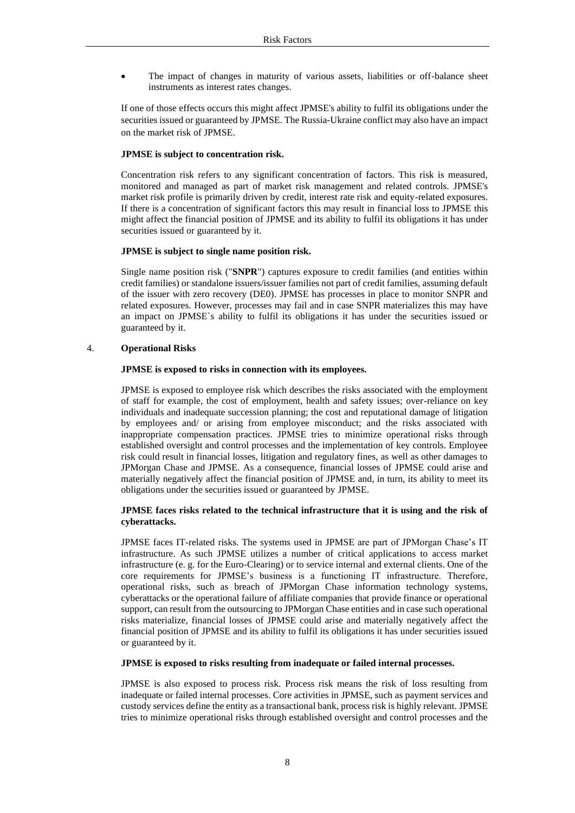The impact of changes in maturity of various assets, liabilities or off-balance sheet instruments as interest rates changes.

If one of those effects occurs this might affect JPMSE's ability to fulfil its obligations under the securities issued or guaranteed by JPMSE. The Russia-Ukraine conflict may also have an impact on the market risk of JPMSE.

## **JPMSE is subject to concentration risk.**

Concentration risk refers to any significant concentration of factors. This risk is measured, monitored and managed as part of market risk management and related controls. JPMSE's market risk profile is primarily driven by credit, interest rate risk and equity-related exposures. If there is a concentration of significant factors this may result in financial loss to JPMSE this might affect the financial position of JPMSE and its ability to fulfil its obligations it has under securities issued or guaranteed by it.

## **JPMSE is subject to single name position risk.**

Single name position risk ("**SNPR**") captures exposure to credit families (and entities within credit families) or standalone issuers/issuer families not part of credit families, assuming default of the issuer with zero recovery (DE0). JPMSE has processes in place to monitor SNPR and related exposures. However, processes may fail and in case SNPR materializes this may have an impact on JPMSE`s ability to fulfil its obligations it has under the securities issued or guaranteed by it.

## <span id="page-7-0"></span>4. **Operational Risks**

## **JPMSE is exposed to risks in connection with its employees.**

JPMSE is exposed to employee risk which describes the risks associated with the employment of staff for example, the cost of employment, health and safety issues; over-reliance on key individuals and inadequate succession planning; the cost and reputational damage of litigation by employees and/ or arising from employee misconduct; and the risks associated with inappropriate compensation practices. JPMSE tries to minimize operational risks through established oversight and control processes and the implementation of key controls. Employee risk could result in financial losses, litigation and regulatory fines, as well as other damages to JPMorgan Chase and JPMSE. As a consequence, financial losses of JPMSE could arise and materially negatively affect the financial position of JPMSE and, in turn, its ability to meet its obligations under the securities issued or guaranteed by JPMSE.

## **JPMSE faces risks related to the technical infrastructure that it is using and the risk of cyberattacks.**

JPMSE faces IT-related risks. The systems used in JPMSE are part of JPMorgan Chase's IT infrastructure. As such JPMSE utilizes a number of critical applications to access market infrastructure (e. g. for the Euro-Clearing) or to service internal and external clients. One of the core requirements for JPMSE's business is a functioning IT infrastructure. Therefore, operational risks, such as breach of JPMorgan Chase information technology systems, cyberattacks or the operational failure of affiliate companies that provide finance or operational support, can result from the outsourcing to JPMorgan Chase entities and in case such operational risks materialize, financial losses of JPMSE could arise and materially negatively affect the financial position of JPMSE and its ability to fulfil its obligations it has under securities issued or guaranteed by it.

## **JPMSE is exposed to risks resulting from inadequate or failed internal processes.**

JPMSE is also exposed to process risk. Process risk means the risk of loss resulting from inadequate or failed internal processes. Core activities in JPMSE, such as payment services and custody services define the entity as a transactional bank, process risk is highly relevant. JPMSE tries to minimize operational risks through established oversight and control processes and the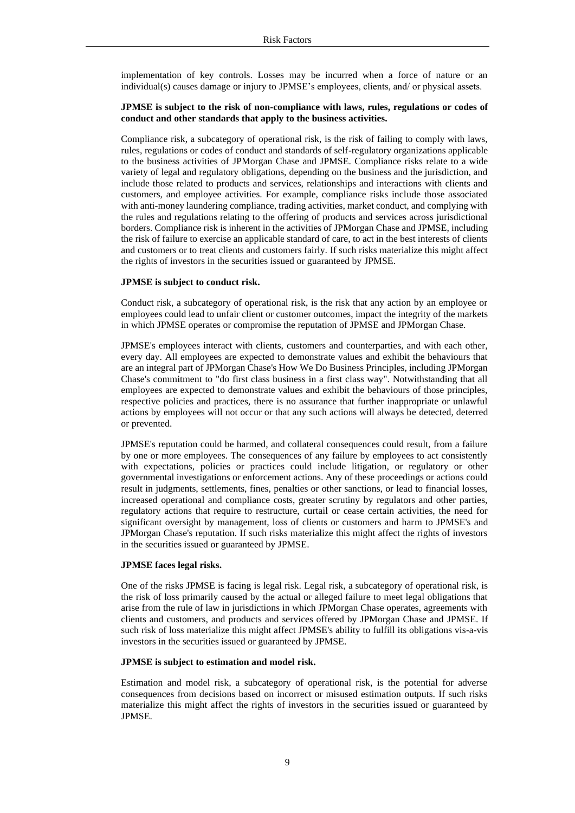implementation of key controls. Losses may be incurred when a force of nature or an individual(s) causes damage or injury to JPMSE's employees, clients, and/ or physical assets.

## **JPMSE is subject to the risk of non-compliance with laws, rules, regulations or codes of conduct and other standards that apply to the business activities.**

Compliance risk, a subcategory of operational risk, is the risk of failing to comply with laws, rules, regulations or codes of conduct and standards of self-regulatory organizations applicable to the business activities of JPMorgan Chase and JPMSE. Compliance risks relate to a wide variety of legal and regulatory obligations, depending on the business and the jurisdiction, and include those related to products and services, relationships and interactions with clients and customers, and employee activities. For example, compliance risks include those associated with anti-money laundering compliance, trading activities, market conduct, and complying with the rules and regulations relating to the offering of products and services across jurisdictional borders. Compliance risk is inherent in the activities of JPMorgan Chase and JPMSE, including the risk of failure to exercise an applicable standard of care, to act in the best interests of clients and customers or to treat clients and customers fairly. If such risks materialize this might affect the rights of investors in the securities issued or guaranteed by JPMSE.

## **JPMSE is subject to conduct risk.**

Conduct risk, a subcategory of operational risk, is the risk that any action by an employee or employees could lead to unfair client or customer outcomes, impact the integrity of the markets in which JPMSE operates or compromise the reputation of JPMSE and JPMorgan Chase.

JPMSE's employees interact with clients, customers and counterparties, and with each other, every day. All employees are expected to demonstrate values and exhibit the behaviours that are an integral part of JPMorgan Chase's How We Do Business Principles, including JPMorgan Chase's commitment to "do first class business in a first class way". Notwithstanding that all employees are expected to demonstrate values and exhibit the behaviours of those principles, respective policies and practices, there is no assurance that further inappropriate or unlawful actions by employees will not occur or that any such actions will always be detected, deterred or prevented.

JPMSE's reputation could be harmed, and collateral consequences could result, from a failure by one or more employees. The consequences of any failure by employees to act consistently with expectations, policies or practices could include litigation, or regulatory or other governmental investigations or enforcement actions. Any of these proceedings or actions could result in judgments, settlements, fines, penalties or other sanctions, or lead to financial losses, increased operational and compliance costs, greater scrutiny by regulators and other parties, regulatory actions that require to restructure, curtail or cease certain activities, the need for significant oversight by management, loss of clients or customers and harm to JPMSE's and JPMorgan Chase's reputation. If such risks materialize this might affect the rights of investors in the securities issued or guaranteed by JPMSE.

### **JPMSE faces legal risks.**

One of the risks JPMSE is facing is legal risk. Legal risk, a subcategory of operational risk, is the risk of loss primarily caused by the actual or alleged failure to meet legal obligations that arise from the rule of law in jurisdictions in which JPMorgan Chase operates, agreements with clients and customers, and products and services offered by JPMorgan Chase and JPMSE. If such risk of loss materialize this might affect JPMSE's ability to fulfill its obligations vis-a-vis investors in the securities issued or guaranteed by JPMSE.

#### **JPMSE is subject to estimation and model risk.**

Estimation and model risk, a subcategory of operational risk, is the potential for adverse consequences from decisions based on incorrect or misused estimation outputs. If such risks materialize this might affect the rights of investors in the securities issued or guaranteed by JPMSE.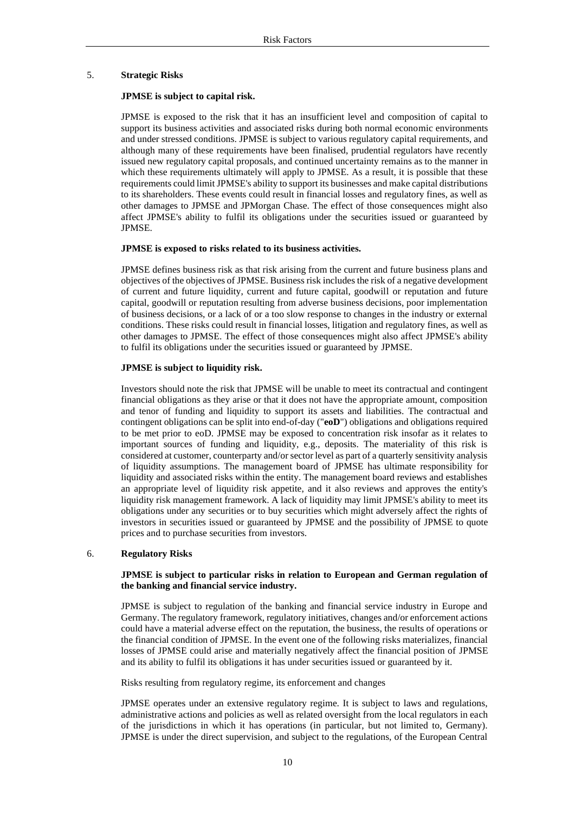#### <span id="page-9-0"></span>5. **Strategic Risks**

#### **JPMSE is subject to capital risk.**

JPMSE is exposed to the risk that it has an insufficient level and composition of capital to support its business activities and associated risks during both normal economic environments and under stressed conditions. JPMSE is subject to various regulatory capital requirements, and although many of these requirements have been finalised, prudential regulators have recently issued new regulatory capital proposals, and continued uncertainty remains as to the manner in which these requirements ultimately will apply to JPMSE. As a result, it is possible that these requirements could limit JPMSE's ability to support its businesses and make capital distributions to its shareholders. These events could result in financial losses and regulatory fines, as well as other damages to JPMSE and JPMorgan Chase. The effect of those consequences might also affect JPMSE's ability to fulfil its obligations under the securities issued or guaranteed by JPMSE.

### **JPMSE is exposed to risks related to its business activities.**

JPMSE defines business risk as that risk arising from the current and future business plans and objectives of the objectives of JPMSE. Business risk includes the risk of a negative development of current and future liquidity, current and future capital, goodwill or reputation and future capital, goodwill or reputation resulting from adverse business decisions, poor implementation of business decisions, or a lack of or a too slow response to changes in the industry or external conditions. These risks could result in financial losses, litigation and regulatory fines, as well as other damages to JPMSE. The effect of those consequences might also affect JPMSE's ability to fulfil its obligations under the securities issued or guaranteed by JPMSE.

#### **JPMSE is subject to liquidity risk.**

Investors should note the risk that JPMSE will be unable to meet its contractual and contingent financial obligations as they arise or that it does not have the appropriate amount, composition and tenor of funding and liquidity to support its assets and liabilities. The contractual and contingent obligations can be split into end-of-day ("**eoD**") obligations and obligations required to be met prior to eoD. JPMSE may be exposed to concentration risk insofar as it relates to important sources of funding and liquidity, e.g., deposits. The materiality of this risk is considered at customer, counterparty and/or sector level as part of a quarterly sensitivity analysis of liquidity assumptions. The management board of JPMSE has ultimate responsibility for liquidity and associated risks within the entity. The management board reviews and establishes an appropriate level of liquidity risk appetite, and it also reviews and approves the entity's liquidity risk management framework. A lack of liquidity may limit JPMSE's ability to meet its obligations under any securities or to buy securities which might adversely affect the rights of investors in securities issued or guaranteed by JPMSE and the possibility of JPMSE to quote prices and to purchase securities from investors.

## <span id="page-9-1"></span>6. **Regulatory Risks**

## **JPMSE is subject to particular risks in relation to European and German regulation of the banking and financial service industry.**

JPMSE is subject to regulation of the banking and financial service industry in Europe and Germany. The regulatory framework, regulatory initiatives, changes and/or enforcement actions could have a material adverse effect on the reputation, the business, the results of operations or the financial condition of JPMSE. In the event one of the following risks materializes, financial losses of JPMSE could arise and materially negatively affect the financial position of JPMSE and its ability to fulfil its obligations it has under securities issued or guaranteed by it.

Risks resulting from regulatory regime, its enforcement and changes

JPMSE operates under an extensive regulatory regime. It is subject to laws and regulations, administrative actions and policies as well as related oversight from the local regulators in each of the jurisdictions in which it has operations (in particular, but not limited to, Germany). JPMSE is under the direct supervision, and subject to the regulations, of the European Central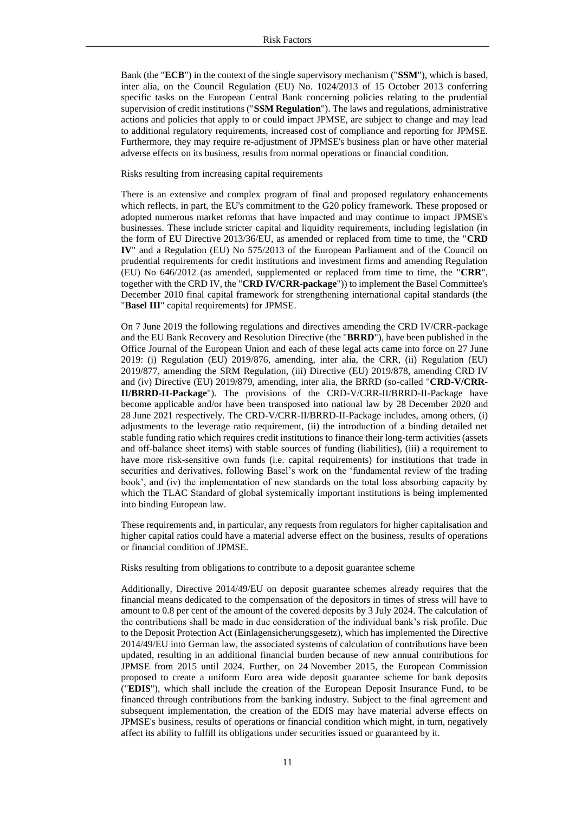Bank (the "**ECB**") in the context of the single supervisory mechanism ("**SSM**"), which is based, inter alia, on the Council Regulation (EU) No. 1024/2013 of 15 October 2013 conferring specific tasks on the European Central Bank concerning policies relating to the prudential supervision of credit institutions ("**SSM Regulation**"). The laws and regulations, administrative actions and policies that apply to or could impact JPMSE, are subject to change and may lead to additional regulatory requirements, increased cost of compliance and reporting for JPMSE. Furthermore, they may require re-adjustment of JPMSE's business plan or have other material adverse effects on its business, results from normal operations or financial condition.

#### Risks resulting from increasing capital requirements

There is an extensive and complex program of final and proposed regulatory enhancements which reflects, in part, the EU's commitment to the G20 policy framework. These proposed or adopted numerous market reforms that have impacted and may continue to impact JPMSE's businesses. These include stricter capital and liquidity requirements, including legislation (in the form of EU Directive 2013/36/EU, as amended or replaced from time to time, the "**CRD IV**" and a Regulation (EU) No 575/2013 of the European Parliament and of the Council on prudential requirements for credit institutions and investment firms and amending Regulation (EU) No 646/2012 (as amended, supplemented or replaced from time to time, the "**CRR**", together with the CRD IV, the "**CRD IV/CRR-package**")) to implement the Basel Committee's December 2010 final capital framework for strengthening international capital standards (the "**Basel III**" capital requirements) for JPMSE.

On 7 June 2019 the following regulations and directives amending the CRD IV/CRR-package and the EU Bank Recovery and Resolution Directive (the "**BRRD**"), have been published in the Office Journal of the European Union and each of these legal acts came into force on 27 June 2019: (i) Regulation (EU) 2019/876, amending, inter alia, the CRR, (ii) Regulation (EU) 2019/877, amending the SRM Regulation, (iii) Directive (EU) 2019/878, amending CRD IV and (iv) Directive (EU) 2019/879, amending, inter alia, the BRRD (so-called "**CRD-V/CRR-II/BRRD-II-Package**"). The provisions of the CRD-V/CRR-II/BRRD-II-Package have become applicable and/or have been transposed into national law by 28 December 2020 and 28 June 2021 respectively. The CRD-V/CRR-II/BRRD-II-Package includes, among others, (i) adjustments to the leverage ratio requirement, (ii) the introduction of a binding detailed net stable funding ratio which requires credit institutions to finance their long-term activities (assets and off-balance sheet items) with stable sources of funding (liabilities), (iii) a requirement to have more risk-sensitive own funds (i.e. capital requirements) for institutions that trade in securities and derivatives, following Basel's work on the 'fundamental review of the trading book', and (iv) the implementation of new standards on the total loss absorbing capacity by which the TLAC Standard of global systemically important institutions is being implemented into binding European law.

These requirements and, in particular, any requests from regulators for higher capitalisation and higher capital ratios could have a material adverse effect on the business, results of operations or financial condition of JPMSE.

Risks resulting from obligations to contribute to a deposit guarantee scheme

Additionally, Directive 2014/49/EU on deposit guarantee schemes already requires that the financial means dedicated to the compensation of the depositors in times of stress will have to amount to 0.8 per cent of the amount of the covered deposits by 3 July 2024. The calculation of the contributions shall be made in due consideration of the individual bank's risk profile. Due to the Deposit Protection Act (Einlagensicherungsgesetz), which has implemented the Directive 2014/49/EU into German law, the associated systems of calculation of contributions have been updated, resulting in an additional financial burden because of new annual contributions for JPMSE from 2015 until 2024. Further, on 24 November 2015, the European Commission proposed to create a uniform Euro area wide deposit guarantee scheme for bank deposits ("**EDIS**"), which shall include the creation of the European Deposit Insurance Fund, to be financed through contributions from the banking industry. Subject to the final agreement and subsequent implementation, the creation of the EDIS may have material adverse effects on JPMSE's business, results of operations or financial condition which might, in turn, negatively affect its ability to fulfill its obligations under securities issued or guaranteed by it.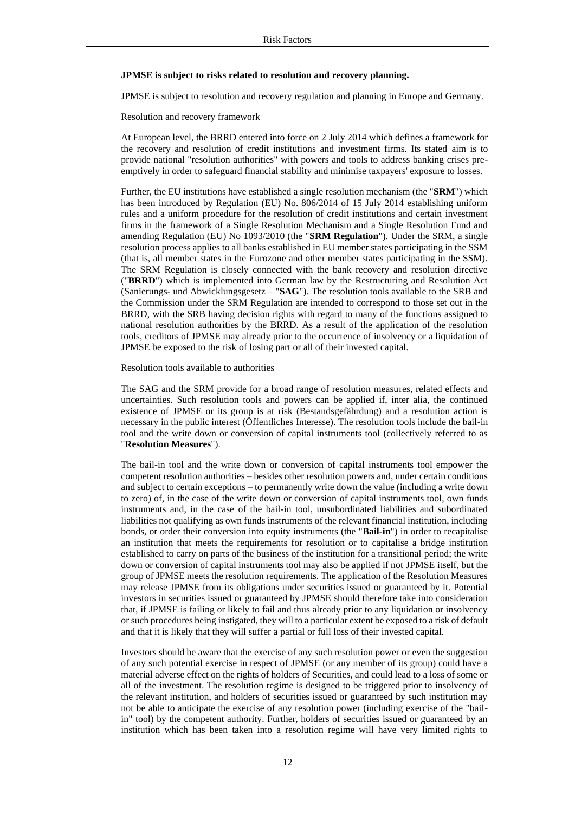#### **JPMSE is subject to risks related to resolution and recovery planning.**

JPMSE is subject to resolution and recovery regulation and planning in Europe and Germany.

Resolution and recovery framework

At European level, the BRRD entered into force on 2 July 2014 which defines a framework for the recovery and resolution of credit institutions and investment firms. Its stated aim is to provide national "resolution authorities" with powers and tools to address banking crises preemptively in order to safeguard financial stability and minimise taxpayers' exposure to losses.

Further, the EU institutions have established a single resolution mechanism (the "**SRM**") which has been introduced by Regulation (EU) No. 806/2014 of 15 July 2014 establishing uniform rules and a uniform procedure for the resolution of credit institutions and certain investment firms in the framework of a Single Resolution Mechanism and a Single Resolution Fund and amending Regulation (EU) No 1093/2010 (the "**SRM Regulation**"). Under the SRM, a single resolution process applies to all banks established in EU member states participating in the SSM (that is, all member states in the Eurozone and other member states participating in the SSM). The SRM Regulation is closely connected with the bank recovery and resolution directive ("**BRRD**") which is implemented into German law by the Restructuring and Resolution Act (Sanierungs- und Abwicklungsgesetz – "**SAG**"). The resolution tools available to the SRB and the Commission under the SRM Regulation are intended to correspond to those set out in the BRRD, with the SRB having decision rights with regard to many of the functions assigned to national resolution authorities by the BRRD. As a result of the application of the resolution tools, creditors of JPMSE may already prior to the occurrence of insolvency or a liquidation of JPMSE be exposed to the risk of losing part or all of their invested capital.

Resolution tools available to authorities

The SAG and the SRM provide for a broad range of resolution measures, related effects and uncertainties. Such resolution tools and powers can be applied if, inter alia, the continued existence of JPMSE or its group is at risk (Bestandsgefährdung) and a resolution action is necessary in the public interest (Öffentliches Interesse). The resolution tools include the bail-in tool and the write down or conversion of capital instruments tool (collectively referred to as "**Resolution Measures**").

The bail-in tool and the write down or conversion of capital instruments tool empower the competent resolution authorities – besides other resolution powers and, under certain conditions and subject to certain exceptions – to permanently write down the value (including a write down to zero) of, in the case of the write down or conversion of capital instruments tool, own funds instruments and, in the case of the bail-in tool, unsubordinated liabilities and subordinated liabilities not qualifying as own funds instruments of the relevant financial institution, including bonds, or order their conversion into equity instruments (the "**Bail-in**") in order to recapitalise an institution that meets the requirements for resolution or to capitalise a bridge institution established to carry on parts of the business of the institution for a transitional period; the write down or conversion of capital instruments tool may also be applied if not JPMSE itself, but the group of JPMSE meets the resolution requirements. The application of the Resolution Measures may release JPMSE from its obligations under securities issued or guaranteed by it. Potential investors in securities issued or guaranteed by JPMSE should therefore take into consideration that, if JPMSE is failing or likely to fail and thus already prior to any liquidation or insolvency or such procedures being instigated, they will to a particular extent be exposed to a risk of default and that it is likely that they will suffer a partial or full loss of their invested capital.

Investors should be aware that the exercise of any such resolution power or even the suggestion of any such potential exercise in respect of JPMSE (or any member of its group) could have a material adverse effect on the rights of holders of Securities, and could lead to a loss of some or all of the investment. The resolution regime is designed to be triggered prior to insolvency of the relevant institution, and holders of securities issued or guaranteed by such institution may not be able to anticipate the exercise of any resolution power (including exercise of the "bailin" tool) by the competent authority. Further, holders of securities issued or guaranteed by an institution which has been taken into a resolution regime will have very limited rights to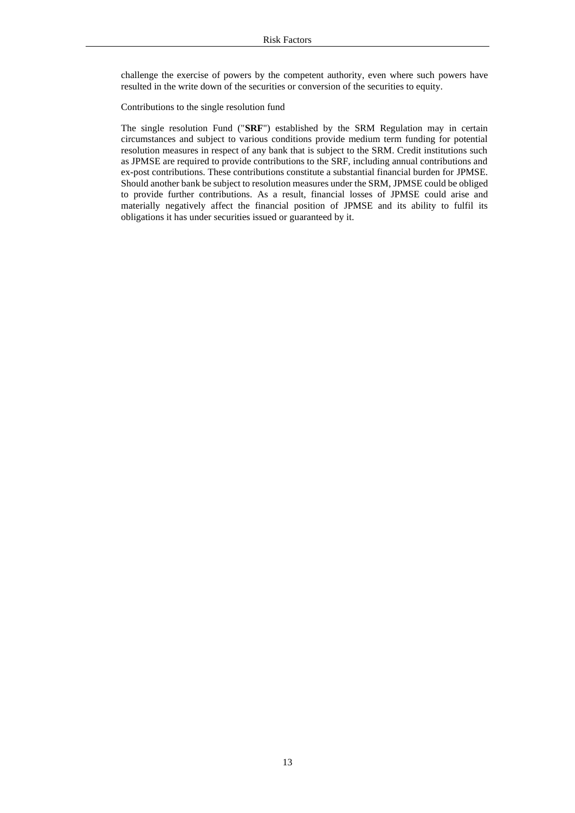challenge the exercise of powers by the competent authority, even where such powers have resulted in the write down of the securities or conversion of the securities to equity.

Contributions to the single resolution fund

The single resolution Fund ("**SRF**") established by the SRM Regulation may in certain circumstances and subject to various conditions provide medium term funding for potential resolution measures in respect of any bank that is subject to the SRM. Credit institutions such as JPMSE are required to provide contributions to the SRF, including annual contributions and ex-post contributions. These contributions constitute a substantial financial burden for JPMSE. Should another bank be subject to resolution measures under the SRM, JPMSE could be obliged to provide further contributions. As a result, financial losses of JPMSE could arise and materially negatively affect the financial position of JPMSE and its ability to fulfil its obligations it has under securities issued or guaranteed by it.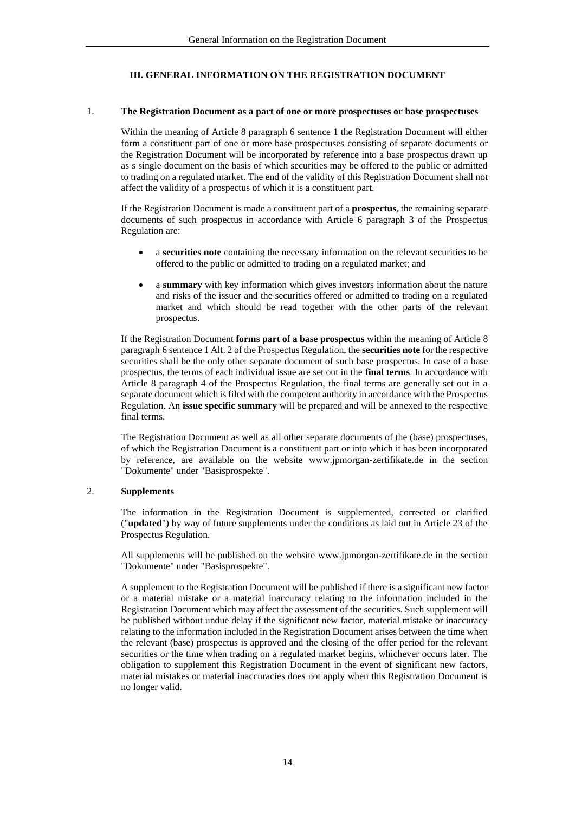## **III. GENERAL INFORMATION ON THE REGISTRATION DOCUMENT**

## <span id="page-13-1"></span><span id="page-13-0"></span>1. **The Registration Document as a part of one or more prospectuses or base prospectuses**

Within the meaning of Article 8 paragraph 6 sentence 1 the Registration Document will either form a constituent part of one or more base prospectuses consisting of separate documents or the Registration Document will be incorporated by reference into a base prospectus drawn up as s single document on the basis of which securities may be offered to the public or admitted to trading on a regulated market. The end of the validity of this Registration Document shall not affect the validity of a prospectus of which it is a constituent part.

If the Registration Document is made a constituent part of a **prospectus**, the remaining separate documents of such prospectus in accordance with Article 6 paragraph 3 of the Prospectus Regulation are:

- a **securities note** containing the necessary information on the relevant securities to be offered to the public or admitted to trading on a regulated market; and
- a **summary** with key information which gives investors information about the nature and risks of the issuer and the securities offered or admitted to trading on a regulated market and which should be read together with the other parts of the relevant prospectus.

If the Registration Document **forms part of a base prospectus** within the meaning of Article 8 paragraph 6 sentence 1 Alt. 2 of the Prospectus Regulation, the **securities note** for the respective securities shall be the only other separate document of such base prospectus. In case of a base prospectus, the terms of each individual issue are set out in the **final terms**. In accordance with Article 8 paragraph 4 of the Prospectus Regulation, the final terms are generally set out in a separate document which is filed with the competent authority in accordance with the Prospectus Regulation. An **issue specific summary** will be prepared and will be annexed to the respective final terms.

The Registration Document as well as all other separate documents of the (base) prospectuses, of which the Registration Document is a constituent part or into which it has been incorporated by reference, are available on the website www.jpmorgan-zertifikate.de in the section "Dokumente" under "Basisprospekte".

## <span id="page-13-2"></span>2. **Supplements**

The information in the Registration Document is supplemented, corrected or clarified ("**updated**") by way of future supplements under the conditions as laid out in Article 23 of the Prospectus Regulation.

All supplements will be published on the website www.jpmorgan-zertifikate.de in the section "Dokumente" under "Basisprospekte".

A supplement to the Registration Document will be published if there is a significant new factor or a material mistake or a material inaccuracy relating to the information included in the Registration Document which may affect the assessment of the securities. Such supplement will be published without undue delay if the significant new factor, material mistake or inaccuracy relating to the information included in the Registration Document arises between the time when the relevant (base) prospectus is approved and the closing of the offer period for the relevant securities or the time when trading on a regulated market begins, whichever occurs later. The obligation to supplement this Registration Document in the event of significant new factors, material mistakes or material inaccuracies does not apply when this Registration Document is no longer valid.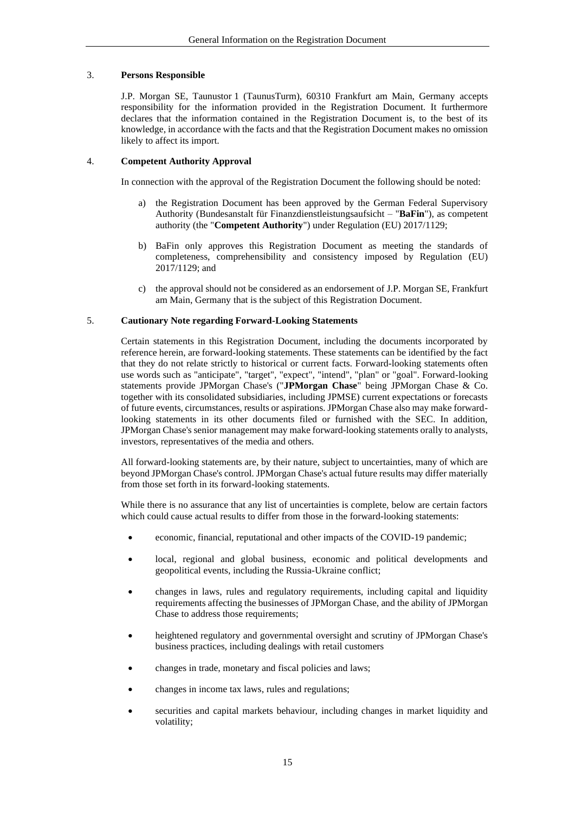## <span id="page-14-0"></span>3. **Persons Responsible**

J.P. Morgan SE, Taunustor 1 (TaunusTurm), 60310 Frankfurt am Main, Germany accepts responsibility for the information provided in the Registration Document. It furthermore declares that the information contained in the Registration Document is, to the best of its knowledge, in accordance with the facts and that the Registration Document makes no omission likely to affect its import.

## <span id="page-14-1"></span>4. **Competent Authority Approval**

In connection with the approval of the Registration Document the following should be noted:

- a) the Registration Document has been approved by the German Federal Supervisory Authority (Bundesanstalt für Finanzdienstleistungsaufsicht – "**BaFin**"), as competent authority (the "**Competent Authority**") under Regulation (EU) 2017/1129;
- b) BaFin only approves this Registration Document as meeting the standards of completeness, comprehensibility and consistency imposed by Regulation (EU) 2017/1129; and
- c) the approval should not be considered as an endorsement of J.P. Morgan SE, Frankfurt am Main, Germany that is the subject of this Registration Document.

## <span id="page-14-2"></span>5. **Cautionary Note regarding Forward-Looking Statements**

Certain statements in this Registration Document, including the documents incorporated by reference herein, are forward-looking statements. These statements can be identified by the fact that they do not relate strictly to historical or current facts. Forward-looking statements often use words such as "anticipate", "target", "expect", "intend", "plan" or "goal". Forward-looking statements provide JPMorgan Chase's ("**JPMorgan Chase**" being JPMorgan Chase & Co. together with its consolidated subsidiaries, including JPMSE) current expectations or forecasts of future events, circumstances, results or aspirations. JPMorgan Chase also may make forwardlooking statements in its other documents filed or furnished with the SEC. In addition, JPMorgan Chase's senior management may make forward-looking statements orally to analysts, investors, representatives of the media and others.

All forward-looking statements are, by their nature, subject to uncertainties, many of which are beyond JPMorgan Chase's control. JPMorgan Chase's actual future results may differ materially from those set forth in its forward-looking statements.

While there is no assurance that any list of uncertainties is complete, below are certain factors which could cause actual results to differ from those in the forward-looking statements:

- economic, financial, reputational and other impacts of the COVID-19 pandemic;
- local, regional and global business, economic and political developments and geopolitical events, including the Russia-Ukraine conflict;
- changes in laws, rules and regulatory requirements, including capital and liquidity requirements affecting the businesses of JPMorgan Chase, and the ability of JPMorgan Chase to address those requirements;
- heightened regulatory and governmental oversight and scrutiny of JPMorgan Chase's business practices, including dealings with retail customers
- changes in trade, monetary and fiscal policies and laws;
- changes in income tax laws, rules and regulations;
- securities and capital markets behaviour, including changes in market liquidity and volatility;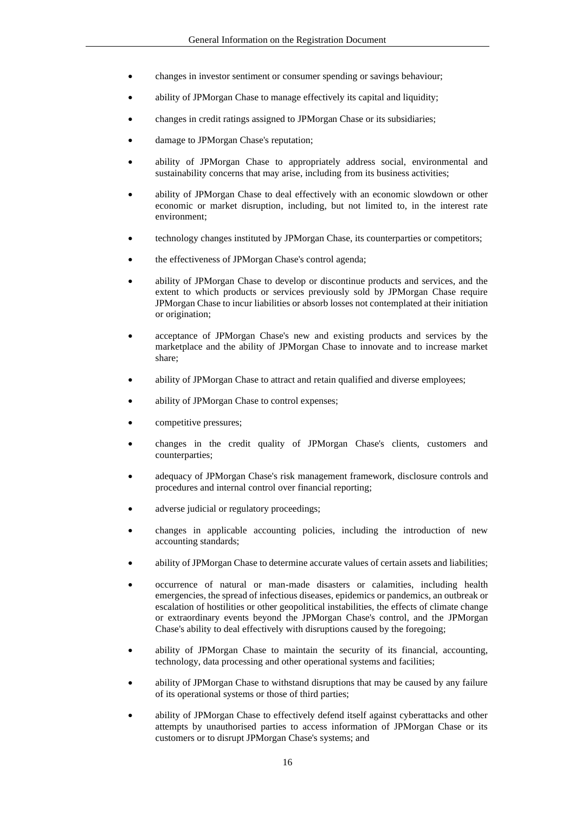- changes in investor sentiment or consumer spending or savings behaviour;
- ability of JPMorgan Chase to manage effectively its capital and liquidity;
- changes in credit ratings assigned to JPMorgan Chase or its subsidiaries;
- damage to JPMorgan Chase's reputation;
- ability of JPMorgan Chase to appropriately address social, environmental and sustainability concerns that may arise, including from its business activities;
- ability of JPMorgan Chase to deal effectively with an economic slowdown or other economic or market disruption, including, but not limited to, in the interest rate environment;
- technology changes instituted by JPMorgan Chase, its counterparties or competitors;
- the effectiveness of JPMorgan Chase's control agenda;
- ability of JPMorgan Chase to develop or discontinue products and services, and the extent to which products or services previously sold by JPMorgan Chase require JPMorgan Chase to incur liabilities or absorb losses not contemplated at their initiation or origination;
- acceptance of JPMorgan Chase's new and existing products and services by the marketplace and the ability of JPMorgan Chase to innovate and to increase market share;
- ability of JPMorgan Chase to attract and retain qualified and diverse employees;
- ability of JPMorgan Chase to control expenses;
- competitive pressures;
- changes in the credit quality of JPMorgan Chase's clients, customers and counterparties;
- adequacy of JPMorgan Chase's risk management framework, disclosure controls and procedures and internal control over financial reporting;
- adverse judicial or regulatory proceedings;
- changes in applicable accounting policies, including the introduction of new accounting standards;
- ability of JPMorgan Chase to determine accurate values of certain assets and liabilities;
- occurrence of natural or man-made disasters or calamities, including health emergencies, the spread of infectious diseases, epidemics or pandemics, an outbreak or escalation of hostilities or other geopolitical instabilities, the effects of climate change or extraordinary events beyond the JPMorgan Chase's control, and the JPMorgan Chase's ability to deal effectively with disruptions caused by the foregoing;
- ability of JPMorgan Chase to maintain the security of its financial, accounting, technology, data processing and other operational systems and facilities;
- ability of JPMorgan Chase to withstand disruptions that may be caused by any failure of its operational systems or those of third parties;
- ability of JPMorgan Chase to effectively defend itself against cyberattacks and other attempts by unauthorised parties to access information of JPMorgan Chase or its customers or to disrupt JPMorgan Chase's systems; and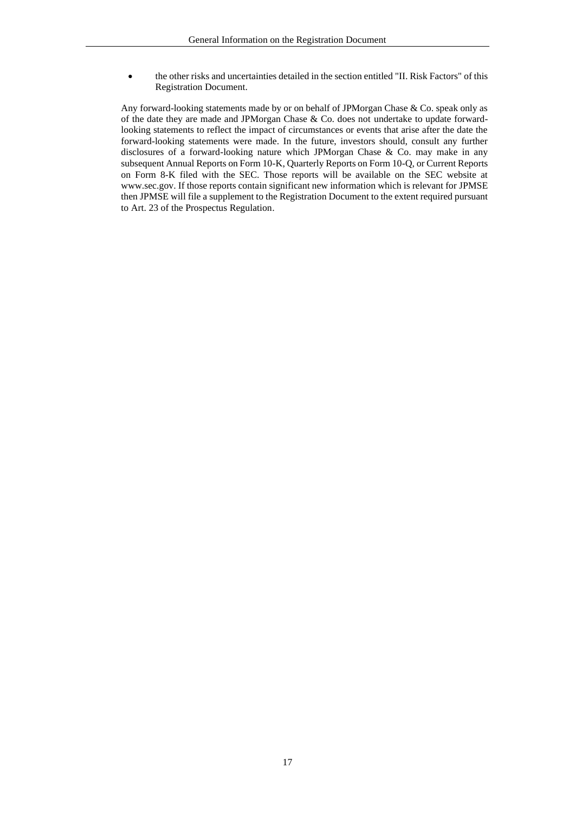• the other risks and uncertainties detailed in the section entitled "II. Risk Factors" of this Registration Document.

Any forward-looking statements made by or on behalf of JPMorgan Chase & Co. speak only as of the date they are made and JPMorgan Chase & Co. does not undertake to update forwardlooking statements to reflect the impact of circumstances or events that arise after the date the forward-looking statements were made. In the future, investors should, consult any further disclosures of a forward-looking nature which JPMorgan Chase & Co. may make in any subsequent Annual Reports on Form 10-K, Quarterly Reports on Form 10-Q, or Current Reports on Form 8-K filed with the SEC. Those reports will be available on the SEC website at www.sec.gov. If those reports contain significant new information which is relevant for JPMSE then JPMSE will file a supplement to the Registration Document to the extent required pursuant to Art. 23 of the Prospectus Regulation.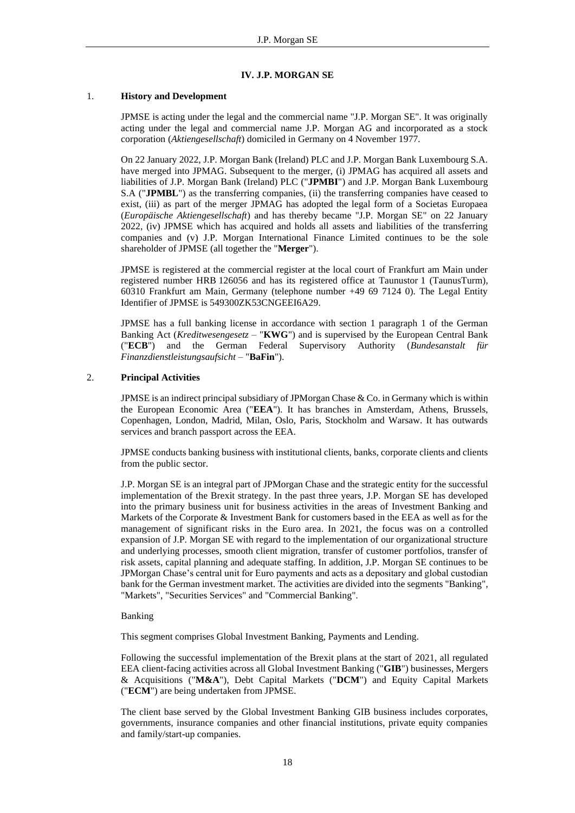## **IV. J.P. MORGAN SE**

## <span id="page-17-1"></span><span id="page-17-0"></span>1. **History and Development**

JPMSE is acting under the legal and the commercial name "J.P. Morgan SE". It was originally acting under the legal and commercial name J.P. Morgan AG and incorporated as a stock corporation (*Aktiengesellschaft*) domiciled in Germany on 4 November 1977.

On 22 January 2022, J.P. Morgan Bank (Ireland) PLC and J.P. Morgan Bank Luxembourg S.A. have merged into JPMAG. Subsequent to the merger, (i) JPMAG has acquired all assets and liabilities of J.P. Morgan Bank (Ireland) PLC ("**JPMBI**") and J.P. Morgan Bank Luxembourg S.A ("**JPMBL**") as the transferring companies, (ii) the transferring companies have ceased to exist, (iii) as part of the merger JPMAG has adopted the legal form of a Societas Europaea (*Europäische Aktiengesellschaft*) and has thereby became "J.P. Morgan SE" on 22 January 2022, (iv) JPMSE which has acquired and holds all assets and liabilities of the transferring companies and (v) J.P. Morgan International Finance Limited continues to be the sole shareholder of JPMSE (all together the "**Merger**").

JPMSE is registered at the commercial register at the local court of Frankfurt am Main under registered number HRB 126056 and has its registered office at Taunustor 1 (TaunusTurm), 60310 Frankfurt am Main, Germany (telephone number +49 69 7124 0). The Legal Entity Identifier of JPMSE is 549300ZK53CNGEEI6A29.

JPMSE has a full banking license in accordance with section 1 paragraph 1 of the German Banking Act (*Kreditwesengesetz* – "**KWG**") and is supervised by the European Central Bank ("**ECB**") and the German Federal Supervisory Authority (*Bundesanstalt für Finanzdienstleistungsaufsicht* – "**BaFin**").

## <span id="page-17-2"></span>2. **Principal Activities**

JPMSE is an indirect principal subsidiary of JPMorgan Chase & Co. in Germany which is within the European Economic Area ("**EEA**"). It has branches in Amsterdam, Athens, Brussels, Copenhagen, London, Madrid, Milan, Oslo, Paris, Stockholm and Warsaw. It has outwards services and branch passport across the EEA.

JPMSE conducts banking business with institutional clients, banks, corporate clients and clients from the public sector.

J.P. Morgan SE is an integral part of JPMorgan Chase and the strategic entity for the successful implementation of the Brexit strategy. In the past three years, J.P. Morgan SE has developed into the primary business unit for business activities in the areas of Investment Banking and Markets of the Corporate & Investment Bank for customers based in the EEA as well as for the management of significant risks in the Euro area. In 2021, the focus was on a controlled expansion of J.P. Morgan SE with regard to the implementation of our organizational structure and underlying processes, smooth client migration, transfer of customer portfolios, transfer of risk assets, capital planning and adequate staffing. In addition, J.P. Morgan SE continues to be JPMorgan Chase's central unit for Euro payments and acts as a depositary and global custodian bank for the German investment market. The activities are divided into the segments "Banking", "Markets", "Securities Services" and "Commercial Banking".

## Banking

This segment comprises Global Investment Banking, Payments and Lending.

Following the successful implementation of the Brexit plans at the start of 2021, all regulated EEA client-facing activities across all Global Investment Banking ("**GIB**") businesses, Mergers & Acquisitions ("**M&A**"), Debt Capital Markets ("**DCM**") and Equity Capital Markets ("**ECM**") are being undertaken from JPMSE.

The client base served by the Global Investment Banking GIB business includes corporates, governments, insurance companies and other financial institutions, private equity companies and family/start-up companies.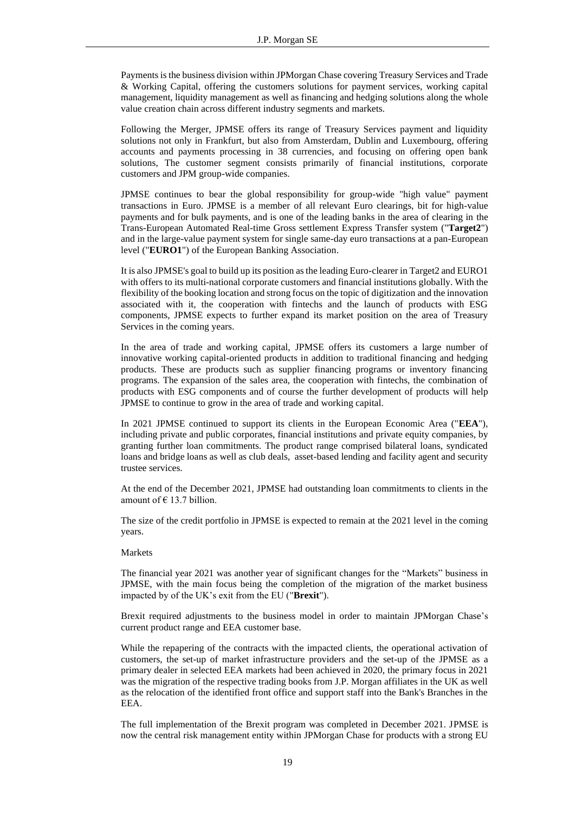Payments is the business division within JPMorgan Chase covering Treasury Services and Trade & Working Capital, offering the customers solutions for payment services, working capital management, liquidity management as well as financing and hedging solutions along the whole value creation chain across different industry segments and markets.

Following the Merger, JPMSE offers its range of Treasury Services payment and liquidity solutions not only in Frankfurt, but also from Amsterdam, Dublin and Luxembourg, offering accounts and payments processing in 38 currencies, and focusing on offering open bank solutions, The customer segment consists primarily of financial institutions, corporate customers and JPM group-wide companies.

JPMSE continues to bear the global responsibility for group-wide "high value" payment transactions in Euro. JPMSE is a member of all relevant Euro clearings, bit for high-value payments and for bulk payments, and is one of the leading banks in the area of clearing in the Trans-European Automated Real-time Gross settlement Express Transfer system ("**Target2**") and in the large-value payment system for single same-day euro transactions at a pan-European level ("**EURO1**") of the European Banking Association.

It is also JPMSE's goal to build up its position as the leading Euro-clearer in Target2 and EURO1 with offers to its multi-national corporate customers and financial institutions globally. With the flexibility of the booking location and strong focus on the topic of digitization and the innovation associated with it, the cooperation with fintechs and the launch of products with ESG components, JPMSE expects to further expand its market position on the area of Treasury Services in the coming years.

In the area of trade and working capital, JPMSE offers its customers a large number of innovative working capital-oriented products in addition to traditional financing and hedging products. These are products such as supplier financing programs or inventory financing programs. The expansion of the sales area, the cooperation with fintechs, the combination of products with ESG components and of course the further development of products will help JPMSE to continue to grow in the area of trade and working capital.

In 2021 JPMSE continued to support its clients in the European Economic Area ("**EEA**"), including private and public corporates, financial institutions and private equity companies, by granting further loan commitments. The product range comprised bilateral loans, syndicated loans and bridge loans as well as club deals, asset-based lending and facility agent and security trustee services.

At the end of the December 2021, JPMSE had outstanding loan commitments to clients in the amount of  $\epsilon$  13.7 billion.

The size of the credit portfolio in JPMSE is expected to remain at the 2021 level in the coming years.

#### Markets

The financial year 2021 was another year of significant changes for the "Markets" business in JPMSE, with the main focus being the completion of the migration of the market business impacted by of the UK's exit from the EU ("**Brexit**").

Brexit required adjustments to the business model in order to maintain JPMorgan Chase's current product range and EEA customer base.

While the repapering of the contracts with the impacted clients, the operational activation of customers, the set-up of market infrastructure providers and the set-up of the JPMSE as a primary dealer in selected EEA markets had been achieved in 2020, the primary focus in 2021 was the migration of the respective trading books from J.P. Morgan affiliates in the UK as well as the relocation of the identified front office and support staff into the Bank's Branches in the EEA.

The full implementation of the Brexit program was completed in December 2021. JPMSE is now the central risk management entity within JPMorgan Chase for products with a strong EU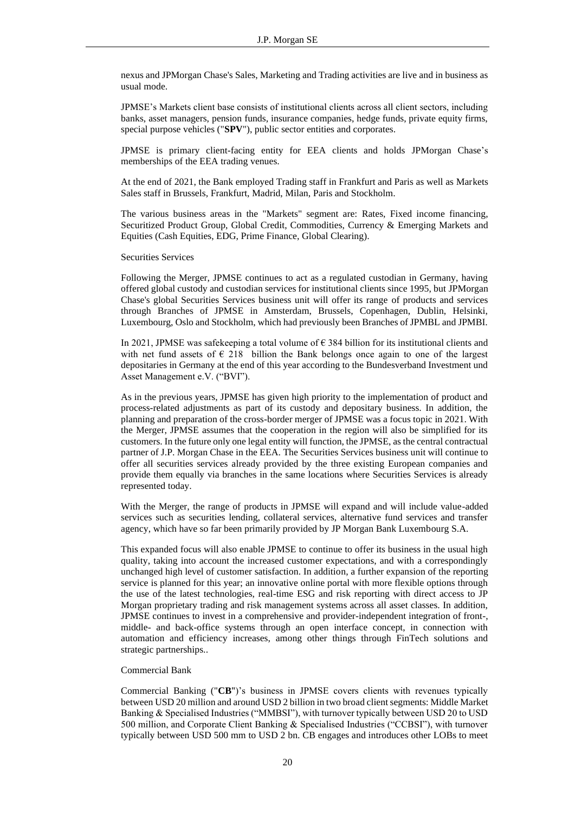nexus and JPMorgan Chase's Sales, Marketing and Trading activities are live and in business as usual mode.

JPMSE's Markets client base consists of institutional clients across all client sectors, including banks, asset managers, pension funds, insurance companies, hedge funds, private equity firms, special purpose vehicles ("**SPV**"), public sector entities and corporates.

JPMSE is primary client-facing entity for EEA clients and holds JPMorgan Chase's memberships of the EEA trading venues.

At the end of 2021, the Bank employed Trading staff in Frankfurt and Paris as well as Markets Sales staff in Brussels, Frankfurt, Madrid, Milan, Paris and Stockholm.

The various business areas in the "Markets" segment are: Rates, Fixed income financing, Securitized Product Group, Global Credit, Commodities, Currency & Emerging Markets and Equities (Cash Equities, EDG, Prime Finance, Global Clearing).

Securities Services

Following the Merger, JPMSE continues to act as a regulated custodian in Germany, having offered global custody and custodian services for institutional clients since 1995, but JPMorgan Chase's global Securities Services business unit will offer its range of products and services through Branches of JPMSE in Amsterdam, Brussels, Copenhagen, Dublin, Helsinki, Luxembourg, Oslo and Stockholm, which had previously been Branches of JPMBL and JPMBI.

In 2021, JPMSE was safekeeping a total volume of € 384 billion for its institutional clients and with net fund assets of  $\epsilon$  218 billion the Bank belongs once again to one of the largest depositaries in Germany at the end of this year according to the Bundesverband Investment und Asset Management e.V. ("BVI").

As in the previous years, JPMSE has given high priority to the implementation of product and process-related adjustments as part of its custody and depositary business. In addition, the planning and preparation of the cross-border merger of JPMSE was a focus topic in 2021. With the Merger, JPMSE assumes that the cooperation in the region will also be simplified for its customers. In the future only one legal entity will function, the JPMSE, as the central contractual partner of J.P. Morgan Chase in the EEA. The Securities Services business unit will continue to offer all securities services already provided by the three existing European companies and provide them equally via branches in the same locations where Securities Services is already represented today.

With the Merger, the range of products in JPMSE will expand and will include value-added services such as securities lending, collateral services, alternative fund services and transfer agency, which have so far been primarily provided by JP Morgan Bank Luxembourg S.A.

This expanded focus will also enable JPMSE to continue to offer its business in the usual high quality, taking into account the increased customer expectations, and with a correspondingly unchanged high level of customer satisfaction. In addition, a further expansion of the reporting service is planned for this year; an innovative online portal with more flexible options through the use of the latest technologies, real-time ESG and risk reporting with direct access to JP Morgan proprietary trading and risk management systems across all asset classes. In addition, JPMSE continues to invest in a comprehensive and provider-independent integration of front-, middle- and back-office systems through an open interface concept, in connection with automation and efficiency increases, among other things through FinTech solutions and strategic partnerships..

## Commercial Bank

Commercial Banking ("**CB**")'s business in JPMSE covers clients with revenues typically between USD 20 million and around USD 2 billion in two broad client segments: Middle Market Banking & Specialised Industries ("MMBSI"), with turnover typically between USD 20 to USD 500 million, and Corporate Client Banking & Specialised Industries ("CCBSI"), with turnover typically between USD 500 mm to USD 2 bn. CB engages and introduces other LOBs to meet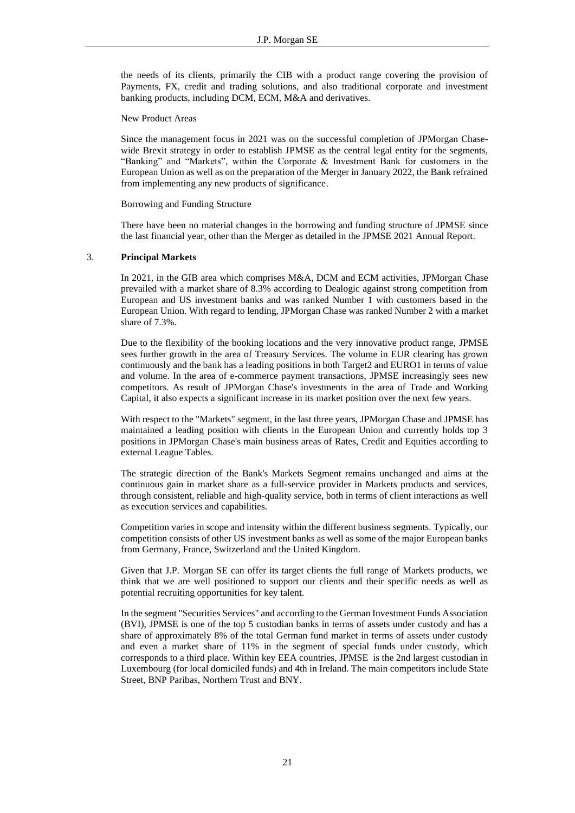the needs of its clients, primarily the CIB with a product range covering the provision of Payments, FX, credit and trading solutions, and also traditional corporate and investment banking products, including DCM, ECM, M&A and derivatives.

New Product Areas

Since the management focus in 2021 was on the successful completion of JPMorgan Chasewide Brexit strategy in order to establish JPMSE as the central legal entity for the segments, "Banking" and "Markets", within the Corporate & Investment Bank for customers in the European Union as well as on the preparation of the Merger in January 2022, the Bank refrained from implementing any new products of significance.

Borrowing and Funding Structure

There have been no material changes in the borrowing and funding structure of JPMSE since the last financial year, other than the Merger as detailed in the JPMSE 2021 Annual Report.

## <span id="page-20-0"></span>3. **Principal Markets**

In 2021, in the GIB area which comprises M&A, DCM and ECM activities, JPMorgan Chase prevailed with a market share of 8.3% according to Dealogic against strong competition from European and US investment banks and was ranked Number 1 with customers based in the European Union. With regard to lending, JPMorgan Chase was ranked Number 2 with a market share of 7.3%.

Due to the flexibility of the booking locations and the very innovative product range, JPMSE sees further growth in the area of Treasury Services. The volume in EUR clearing has grown continuously and the bank has a leading positions in both Target2 and EURO1 in terms of value and volume. In the area of e-commerce payment transactions, JPMSE increasingly sees new competitors. As result of JPMorgan Chase's investments in the area of Trade and Working Capital, it also expects a significant increase in its market position over the next few years.

With respect to the "Markets" segment, in the last three years, JPMorgan Chase and JPMSE has maintained a leading position with clients in the European Union and currently holds top 3 positions in JPMorgan Chase's main business areas of Rates, Credit and Equities according to external League Tables.

The strategic direction of the Bank's Markets Segment remains unchanged and aims at the continuous gain in market share as a full-service provider in Markets products and services, through consistent, reliable and high-quality service, both in terms of client interactions as well as execution services and capabilities.

Competition varies in scope and intensity within the different business segments. Typically, our competition consists of other US investment banks as well as some of the major European banks from Germany, France, Switzerland and the United Kingdom.

Given that J.P. Morgan SE can offer its target clients the full range of Markets products, we think that we are well positioned to support our clients and their specific needs as well as potential recruiting opportunities for key talent.

In the segment "Securities Services" and according to the German Investment Funds Association (BVI), JPMSE is one of the top 5 custodian banks in terms of assets under custody and has a share of approximately 8% of the total German fund market in terms of assets under custody and even a market share of 11% in the segment of special funds under custody, which corresponds to a third place. Within key EEA countries, JPMSE is the 2nd largest custodian in Luxembourg (for local domiciled funds) and 4th in Ireland. The main competitors include State Street, BNP Paribas, Northern Trust and BNY.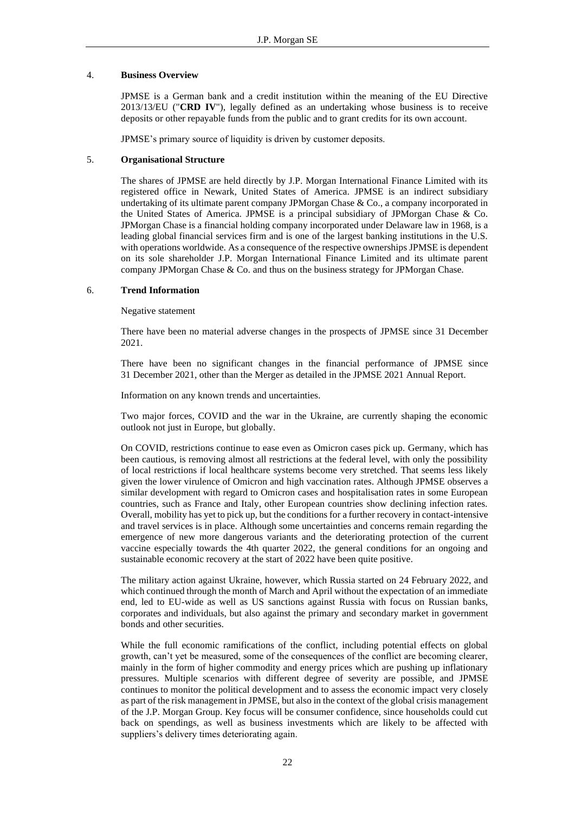## <span id="page-21-0"></span>4. **Business Overview**

JPMSE is a German bank and a credit institution within the meaning of the EU Directive 2013/13/EU ("**CRD IV**"), legally defined as an undertaking whose business is to receive deposits or other repayable funds from the public and to grant credits for its own account.

JPMSE's primary source of liquidity is driven by customer deposits.

## <span id="page-21-1"></span>5. **Organisational Structure**

The shares of JPMSE are held directly by J.P. Morgan International Finance Limited with its registered office in Newark, United States of America. JPMSE is an indirect subsidiary undertaking of its ultimate parent company JPMorgan Chase & Co., a company incorporated in the United States of America. JPMSE is a principal subsidiary of JPMorgan Chase & Co. JPMorgan Chase is a financial holding company incorporated under Delaware law in 1968, is a leading global financial services firm and is one of the largest banking institutions in the U.S. with operations worldwide. As a consequence of the respective ownerships JPMSE is dependent on its sole shareholder J.P. Morgan International Finance Limited and its ultimate parent company JPMorgan Chase & Co. and thus on the business strategy for JPMorgan Chase.

## <span id="page-21-2"></span>6. **Trend Information**

Negative statement

There have been no material adverse changes in the prospects of JPMSE since 31 December 2021.

There have been no significant changes in the financial performance of JPMSE since 31 December 2021, other than the Merger as detailed in the JPMSE 2021 Annual Report.

Information on any known trends and uncertainties.

Two major forces, COVID and the war in the Ukraine, are currently shaping the economic outlook not just in Europe, but globally.

On COVID, restrictions continue to ease even as Omicron cases pick up. Germany, which has been cautious, is removing almost all restrictions at the federal level, with only the possibility of local restrictions if local healthcare systems become very stretched. That seems less likely given the lower virulence of Omicron and high vaccination rates. Although JPMSE observes a similar development with regard to Omicron cases and hospitalisation rates in some European countries, such as France and Italy, other European countries show declining infection rates. Overall, mobility has yet to pick up, but the conditions for a further recovery in contact-intensive and travel services is in place. Although some uncertainties and concerns remain regarding the emergence of new more dangerous variants and the deteriorating protection of the current vaccine especially towards the 4th quarter 2022, the general conditions for an ongoing and sustainable economic recovery at the start of 2022 have been quite positive.

The military action against Ukraine, however, which Russia started on 24 February 2022, and which continued through the month of March and April without the expectation of an immediate end, led to EU-wide as well as US sanctions against Russia with focus on Russian banks, corporates and individuals, but also against the primary and secondary market in government bonds and other securities.

While the full economic ramifications of the conflict, including potential effects on global growth, can't yet be measured, some of the consequences of the conflict are becoming clearer, mainly in the form of higher commodity and energy prices which are pushing up inflationary pressures. Multiple scenarios with different degree of severity are possible, and JPMSE continues to monitor the political development and to assess the economic impact very closely as part of the risk management in JPMSE, but also in the context of the global crisis management of the J.P. Morgan Group. Key focus will be consumer confidence, since households could cut back on spendings, as well as business investments which are likely to be affected with suppliers's delivery times deteriorating again.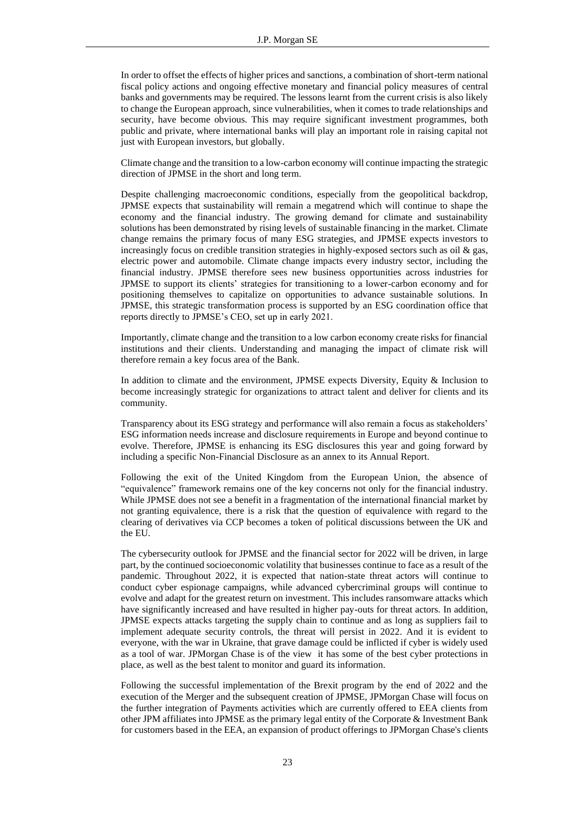In order to offset the effects of higher prices and sanctions, a combination of short-term national fiscal policy actions and ongoing effective monetary and financial policy measures of central banks and governments may be required. The lessons learnt from the current crisis is also likely to change the European approach, since vulnerabilities, when it comes to trade relationships and security, have become obvious. This may require significant investment programmes, both public and private, where international banks will play an important role in raising capital not just with European investors, but globally.

Climate change and the transition to a low-carbon economy will continue impacting the strategic direction of JPMSE in the short and long term.

Despite challenging macroeconomic conditions, especially from the geopolitical backdrop, JPMSE expects that sustainability will remain a megatrend which will continue to shape the economy and the financial industry. The growing demand for climate and sustainability solutions has been demonstrated by rising levels of sustainable financing in the market. Climate change remains the primary focus of many ESG strategies, and JPMSE expects investors to increasingly focus on credible transition strategies in highly-exposed sectors such as oil  $\&$  gas, electric power and automobile. Climate change impacts every industry sector, including the financial industry. JPMSE therefore sees new business opportunities across industries for JPMSE to support its clients' strategies for transitioning to a lower-carbon economy and for positioning themselves to capitalize on opportunities to advance sustainable solutions. In JPMSE, this strategic transformation process is supported by an ESG coordination office that reports directly to JPMSE's CEO, set up in early 2021.

Importantly, climate change and the transition to a low carbon economy create risks for financial institutions and their clients. Understanding and managing the impact of climate risk will therefore remain a key focus area of the Bank.

In addition to climate and the environment, JPMSE expects Diversity, Equity & Inclusion to become increasingly strategic for organizations to attract talent and deliver for clients and its community.

Transparency about its ESG strategy and performance will also remain a focus as stakeholders' ESG information needs increase and disclosure requirements in Europe and beyond continue to evolve. Therefore, JPMSE is enhancing its ESG disclosures this year and going forward by including a specific Non-Financial Disclosure as an annex to its Annual Report.

Following the exit of the United Kingdom from the European Union, the absence of "equivalence" framework remains one of the key concerns not only for the financial industry. While JPMSE does not see a benefit in a fragmentation of the international financial market by not granting equivalence, there is a risk that the question of equivalence with regard to the clearing of derivatives via CCP becomes a token of political discussions between the UK and the EU.

The cybersecurity outlook for JPMSE and the financial sector for 2022 will be driven, in large part, by the continued socioeconomic volatility that businesses continue to face as a result of the pandemic. Throughout 2022, it is expected that nation-state threat actors will continue to conduct cyber espionage campaigns, while advanced cybercriminal groups will continue to evolve and adapt for the greatest return on investment. This includes ransomware attacks which have significantly increased and have resulted in higher pay-outs for threat actors. In addition, JPMSE expects attacks targeting the supply chain to continue and as long as suppliers fail to implement adequate security controls, the threat will persist in 2022. And it is evident to everyone, with the war in Ukraine, that grave damage could be inflicted if cyber is widely used as a tool of war. JPMorgan Chase is of the view it has some of the best cyber protections in place, as well as the best talent to monitor and guard its information.

Following the successful implementation of the Brexit program by the end of 2022 and the execution of the Merger and the subsequent creation of JPMSE, JPMorgan Chase will focus on the further integration of Payments activities which are currently offered to EEA clients from other JPM affiliates into JPMSE as the primary legal entity of the Corporate & Investment Bank for customers based in the EEA, an expansion of product offerings to JPMorgan Chase's clients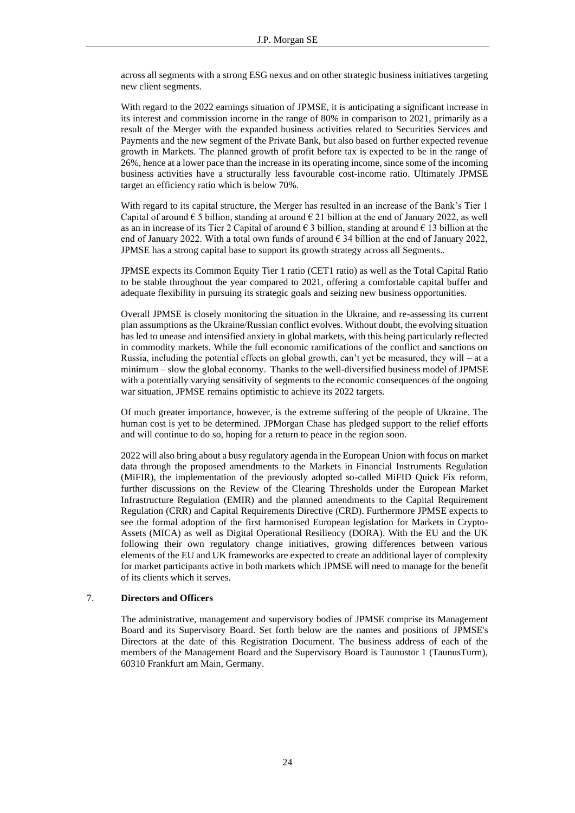across all segments with a strong ESG nexus and on other strategic business initiatives targeting new client segments.

With regard to the 2022 earnings situation of JPMSE, it is anticipating a significant increase in its interest and commission income in the range of 80% in comparison to 2021, primarily as a result of the Merger with the expanded business activities related to Securities Services and Payments and the new segment of the Private Bank, but also based on further expected revenue growth in Markets. The planned growth of profit before tax is expected to be in the range of 26%, hence at a lower pace than the increase in its operating income, since some of the incoming business activities have a structurally less favourable cost-income ratio. Ultimately JPMSE target an efficiency ratio which is below 70%.

With regard to its capital structure, the Merger has resulted in an increase of the Bank's Tier 1 Capital of around  $\epsilon$  5 billion, standing at around  $\epsilon$  21 billion at the end of January 2022, as well as an in increase of its Tier 2 Capital of around  $\epsilon$  3 billion, standing at around  $\epsilon$  13 billion at the end of January 2022. With a total own funds of around  $\epsilon$  34 billion at the end of January 2022, JPMSE has a strong capital base to support its growth strategy across all Segments..

JPMSE expects its Common Equity Tier 1 ratio (CET1 ratio) as well as the Total Capital Ratio to be stable throughout the year compared to 2021, offering a comfortable capital buffer and adequate flexibility in pursuing its strategic goals and seizing new business opportunities.

Overall JPMSE is closely monitoring the situation in the Ukraine, and re-assessing its current plan assumptions as the Ukraine/Russian conflict evolves. Without doubt, the evolving situation has led to unease and intensified anxiety in global markets, with this being particularly reflected in commodity markets. While the full economic ramifications of the conflict and sanctions on Russia, including the potential effects on global growth, can't yet be measured, they will – at a minimum – slow the global economy. Thanks to the well-diversified business model of JPMSE with a potentially varying sensitivity of segments to the economic consequences of the ongoing war situation, JPMSE remains optimistic to achieve its 2022 targets.

Of much greater importance, however, is the extreme suffering of the people of Ukraine. The human cost is yet to be determined. JPMorgan Chase has pledged support to the relief efforts and will continue to do so, hoping for a return to peace in the region soon.

2022 will also bring about a busy regulatory agenda in the European Union with focus on market data through the proposed amendments to the Markets in Financial Instruments Regulation (MiFIR), the implementation of the previously adopted so-called MiFID Quick Fix reform, further discussions on the Review of the Clearing Thresholds under the European Market Infrastructure Regulation (EMIR) and the planned amendments to the Capital Requirement Regulation (CRR) and Capital Requirements Directive (CRD). Furthermore JPMSE expects to see the formal adoption of the first harmonised European legislation for Markets in Crypto-Assets (MICA) as well as Digital Operational Resiliency (DORA). With the EU and the UK following their own regulatory change initiatives, growing differences between various elements of the EU and UK frameworks are expected to create an additional layer of complexity for market participants active in both markets which JPMSE will need to manage for the benefit of its clients which it serves.

## <span id="page-23-0"></span>7. **Directors and Officers**

The administrative, management and supervisory bodies of JPMSE comprise its Management Board and its Supervisory Board. Set forth below are the names and positions of JPMSE's Directors at the date of this Registration Document. The business address of each of the members of the Management Board and the Supervisory Board is Taunustor 1 (TaunusTurm), 60310 Frankfurt am Main, Germany.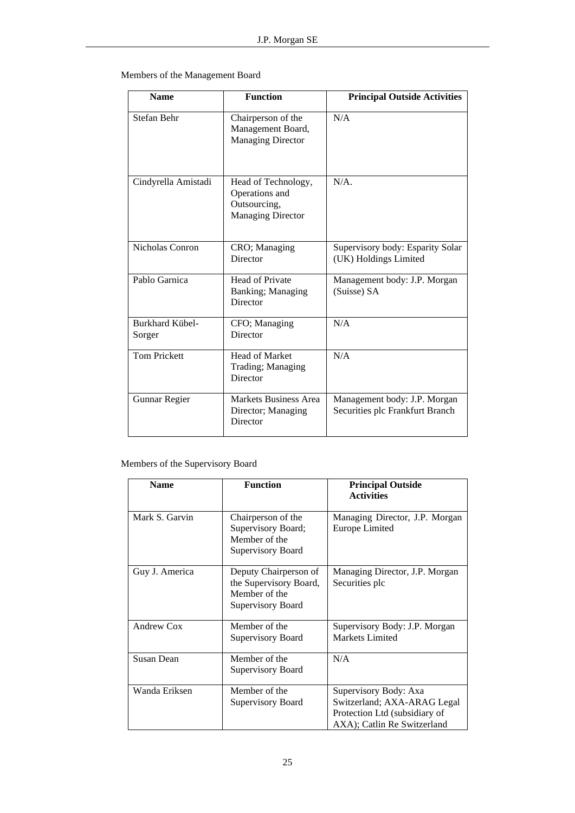Members of the Management Board

| <b>Name</b>                      | <b>Function</b>                                                                   | <b>Principal Outside Activities</b>                             |  |
|----------------------------------|-----------------------------------------------------------------------------------|-----------------------------------------------------------------|--|
| Stefan Behr                      | Chairperson of the<br>Management Board,<br><b>Managing Director</b>               | N/A                                                             |  |
| Cindyrella Amistadi              | Head of Technology,<br>Operations and<br>Outsourcing,<br><b>Managing Director</b> | $N/A$ .                                                         |  |
| Nicholas Conron                  | CRO; Managing<br>Director                                                         | Supervisory body: Esparity Solar<br>(UK) Holdings Limited       |  |
| Pablo Garnica                    | <b>Head of Private</b><br>Banking; Managing<br>Director                           | Management body: J.P. Morgan<br>(Suisse) SA                     |  |
| <b>Burkhard Kübel-</b><br>Sorger | CFO; Managing<br>Director                                                         | N/A                                                             |  |
| <b>Tom Prickett</b>              | <b>Head of Market</b><br>Trading; Managing<br>Director                            | N/A                                                             |  |
| Gunnar Regier                    | <b>Markets Business Area</b><br>Director; Managing<br>Director                    | Management body: J.P. Morgan<br>Securities plc Frankfurt Branch |  |

## Members of the Supervisory Board

| <b>Name</b>       | <b>Function</b>                                                                       | <b>Principal Outside</b><br><b>Activities</b>                                                                        |
|-------------------|---------------------------------------------------------------------------------------|----------------------------------------------------------------------------------------------------------------------|
| Mark S. Garvin    | Chairperson of the<br>Supervisory Board;<br>Member of the<br>Supervisory Board        | Managing Director, J.P. Morgan<br>Europe Limited                                                                     |
| Guy J. America    | Deputy Chairperson of<br>the Supervisory Board,<br>Member of the<br>Supervisory Board | Managing Director, J.P. Morgan<br>Securities plc                                                                     |
| Andrew Cox        | Member of the<br>Supervisory Board                                                    | Supervisory Body: J.P. Morgan<br>Markets Limited                                                                     |
| <b>Susan Dean</b> | Member of the<br>Supervisory Board                                                    | N/A                                                                                                                  |
| Wanda Eriksen     | Member of the<br>Supervisory Board                                                    | Supervisory Body: Axa<br>Switzerland; AXA-ARAG Legal<br>Protection Ltd (subsidiary of<br>AXA); Catlin Re Switzerland |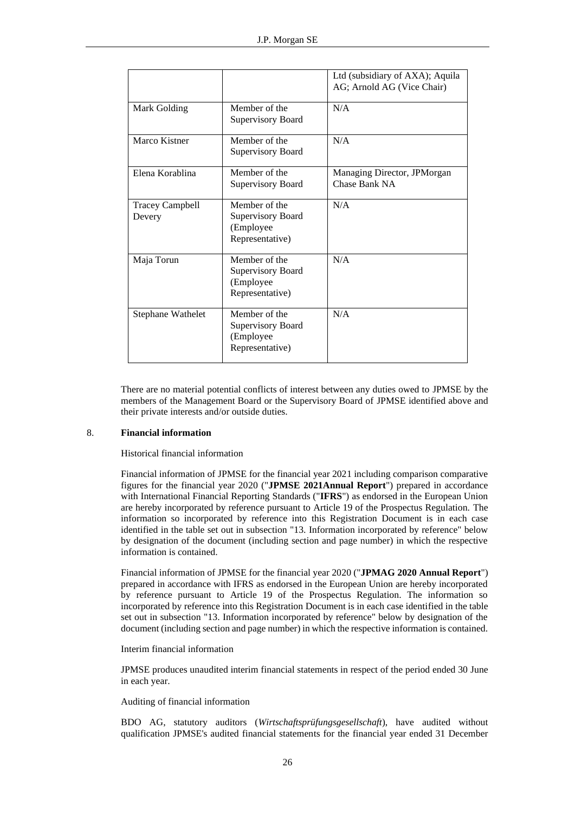|                                  |                                                                     | Ltd (subsidiary of AXA); Aquila<br>AG; Arnold AG (Vice Chair) |
|----------------------------------|---------------------------------------------------------------------|---------------------------------------------------------------|
| Mark Golding                     | Member of the<br>Supervisory Board                                  | N/A                                                           |
| Marco Kistner                    | Member of the<br>Supervisory Board                                  | N/A                                                           |
| Elena Korablina                  | Member of the<br>Supervisory Board                                  | Managing Director, JPMorgan<br>Chase Bank NA                  |
| <b>Tracey Campbell</b><br>Devery | Member of the<br>Supervisory Board<br>(Employee)<br>Representative) | N/A                                                           |
| Maja Torun                       | Member of the<br>Supervisory Board<br>(Employee)<br>Representative) | N/A                                                           |
| Stephane Wathelet                | Member of the<br>Supervisory Board<br>(Employee)<br>Representative) | N/A                                                           |

There are no material potential conflicts of interest between any duties owed to JPMSE by the members of the Management Board or the Supervisory Board of JPMSE identified above and their private interests and/or outside duties.

## <span id="page-25-0"></span>8. **Financial information**

Historical financial information

Financial information of JPMSE for the financial year 2021 including comparison comparative figures for the financial year 2020 ("**JPMSE 2021Annual Report**") prepared in accordance with International Financial Reporting Standards ("**IFRS**") as endorsed in the European Union are hereby incorporated by reference pursuant to Article 19 of the Prospectus Regulation. The information so incorporated by reference into this Registration Document is in each case identified in the table set out in subsection "13. Information incorporated by reference" below by designation of the document (including section and page number) in which the respective information is contained.

Financial information of JPMSE for the financial year 2020 ("**JPMAG 2020 Annual Report**") prepared in accordance with IFRS as endorsed in the European Union are hereby incorporated by reference pursuant to Article 19 of the Prospectus Regulation. The information so incorporated by reference into this Registration Document is in each case identified in the table set out in subsection "13. Information incorporated by reference" below by designation of the document (including section and page number) in which the respective information is contained.

Interim financial information

JPMSE produces unaudited interim financial statements in respect of the period ended 30 June in each year.

## Auditing of financial information

BDO AG, statutory auditors (*Wirtschaftsprüfungsgesellschaft*), have audited without qualification JPMSE's audited financial statements for the financial year ended 31 December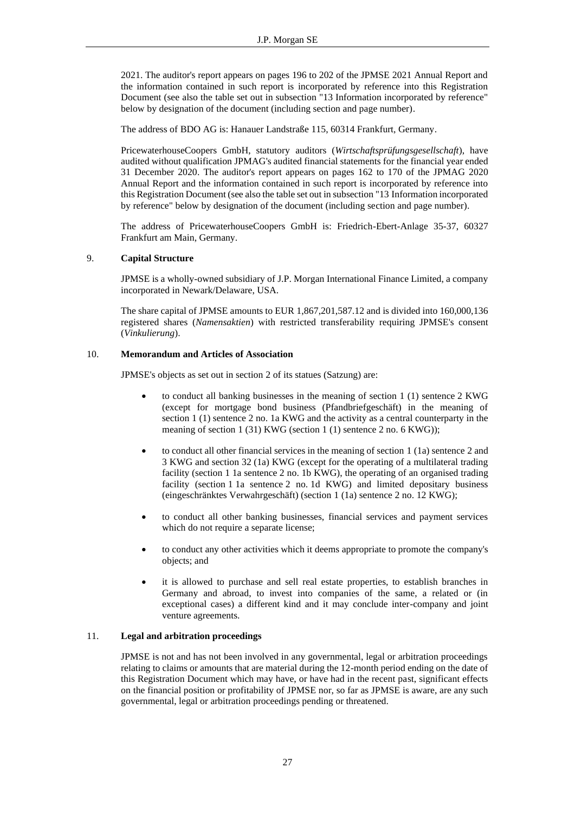2021. The auditor's report appears on pages 196 to 202 of the JPMSE 2021 Annual Report and the information contained in such report is incorporated by reference into this Registration Document (see also the table set out in subsection "13 Information incorporated by reference" below by designation of the document (including section and page number).

The address of BDO AG is: Hanauer Landstraße 115, 60314 Frankfurt, Germany.

PricewaterhouseCoopers GmbH, statutory auditors (*Wirtschaftsprüfungsgesellschaft*), have audited without qualification JPMAG's audited financial statements for the financial year ended 31 December 2020. The auditor's report appears on pages 162 to 170 of the JPMAG 2020 Annual Report and the information contained in such report is incorporated by reference into this Registration Document (see also the table set out in subsection "13 Information incorporated by reference" below by designation of the document (including section and page number).

The address of PricewaterhouseCoopers GmbH is: Friedrich-Ebert-Anlage 35-37, 60327 Frankfurt am Main, Germany.

## <span id="page-26-0"></span>9. **Capital Structure**

JPMSE is a wholly-owned subsidiary of J.P. Morgan International Finance Limited, a company incorporated in Newark/Delaware, USA.

The share capital of JPMSE amounts to EUR 1,867,201,587.12 and is divided into 160,000,136 registered shares (*Namensaktien*) with restricted transferability requiring JPMSE's consent (*Vinkulierung*).

## <span id="page-26-1"></span>10. **Memorandum and Articles of Association**

JPMSE's objects as set out in section 2 of its statues (Satzung) are:

- to conduct all banking businesses in the meaning of section 1 (1) sentence 2 KWG (except for mortgage bond business (Pfandbriefgeschäft) in the meaning of section 1 (1) sentence 2 no. 1a KWG and the activity as a central counterparty in the meaning of section 1 (31) KWG (section 1 (1) sentence 2 no. 6 KWG));
- to conduct all other financial services in the meaning of section 1 (1a) sentence 2 and 3 KWG and section 32 (1a) KWG (except for the operating of a multilateral trading facility (section 1 1a sentence 2 no. 1b KWG), the operating of an organised trading facility (section 1 1a sentence 2 no. 1d KWG) and limited depositary business (eingeschränktes Verwahrgeschäft) (section 1 (1a) sentence 2 no. 12 KWG);
- to conduct all other banking businesses, financial services and payment services which do not require a separate license;
- to conduct any other activities which it deems appropriate to promote the company's objects; and
- it is allowed to purchase and sell real estate properties, to establish branches in Germany and abroad, to invest into companies of the same, a related or (in exceptional cases) a different kind and it may conclude inter-company and joint venture agreements.

## <span id="page-26-2"></span>11. **Legal and arbitration proceedings**

JPMSE is not and has not been involved in any governmental, legal or arbitration proceedings relating to claims or amounts that are material during the 12-month period ending on the date of this Registration Document which may have, or have had in the recent past, significant effects on the financial position or profitability of JPMSE nor, so far as JPMSE is aware, are any such governmental, legal or arbitration proceedings pending or threatened.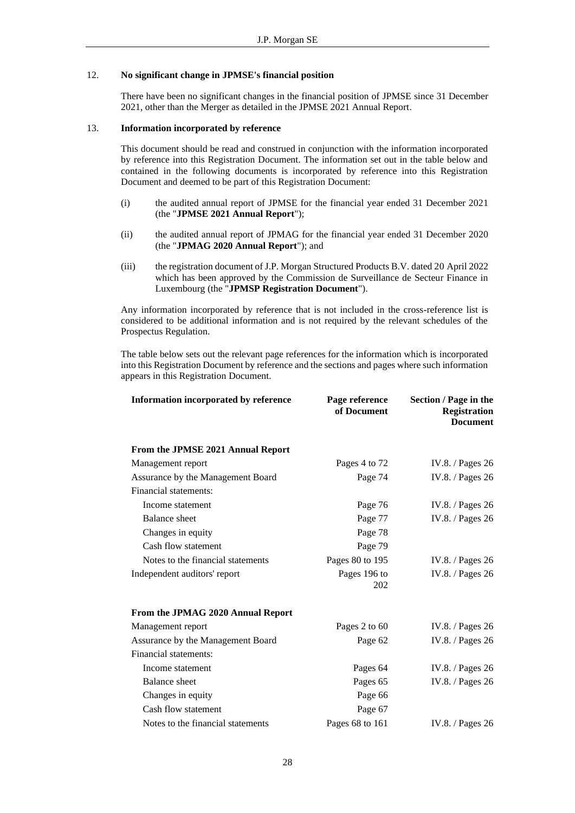## <span id="page-27-0"></span>12. **No significant change in JPMSE's financial position**

There have been no significant changes in the financial position of JPMSE since 31 December 2021, other than the Merger as detailed in the JPMSE 2021 Annual Report.

## <span id="page-27-1"></span>13. **Information incorporated by reference**

This document should be read and construed in conjunction with the information incorporated by reference into this Registration Document. The information set out in the table below and contained in the following documents is incorporated by reference into this Registration Document and deemed to be part of this Registration Document:

- (i) the audited annual report of JPMSE for the financial year ended 31 December 2021 (the "**JPMSE 2021 Annual Report**");
- (ii) the audited annual report of JPMAG for the financial year ended 31 December 2020 (the "**JPMAG 2020 Annual Report**"); and
- (iii) the registration document of J.P. Morgan Structured Products B.V. dated 20 April 2022 which has been approved by the Commission de Surveillance de Secteur Finance in Luxembourg (the "**JPMSP Registration Document**").

Any information incorporated by reference that is not included in the cross-reference list is considered to be additional information and is not required by the relevant schedules of the Prospectus Regulation.

The table below sets out the relevant page references for the information which is incorporated into this Registration Document by reference and the sections and pages where such information appears in this Registration Document.

| Information incorporated by reference | Page reference<br>of Document | Section / Page in the<br><b>Registration</b><br><b>Document</b> |
|---------------------------------------|-------------------------------|-----------------------------------------------------------------|
| From the JPMSE 2021 Annual Report     |                               |                                                                 |
| Management report                     | Pages 4 to 72                 | IV.8. / Pages 26                                                |
| Assurance by the Management Board     | Page 74                       | IV.8. / Pages 26                                                |
| Financial statements:                 |                               |                                                                 |
| Income statement                      | Page 76                       | IV.8. / Pages 26                                                |
| <b>Balance</b> sheet                  | Page 77                       | IV.8. / Pages 26                                                |
| Changes in equity                     | Page 78                       |                                                                 |
| Cash flow statement                   | Page 79                       |                                                                 |
| Notes to the financial statements     | Pages 80 to 195               | IV.8. / Pages $26$                                              |
| Independent auditors' report          | Pages 196 to<br>202           | IV.8. / Pages 26                                                |
| From the JPMAG 2020 Annual Report     |                               |                                                                 |
| Management report                     | Pages 2 to 60                 | IV.8. / Pages 26                                                |
| Assurance by the Management Board     | Page 62                       | IV.8. / Pages 26                                                |
| Financial statements:                 |                               |                                                                 |
| Income statement                      | Pages 64                      | IV.8. / Pages $26$                                              |
| <b>Balance</b> sheet                  | Pages 65                      | IV.8. / Pages 26                                                |
| Changes in equity                     | Page 66                       |                                                                 |
| Cash flow statement                   | Page 67                       |                                                                 |
| Notes to the financial statements     | Pages 68 to 161               | IV.8. / Pages 26                                                |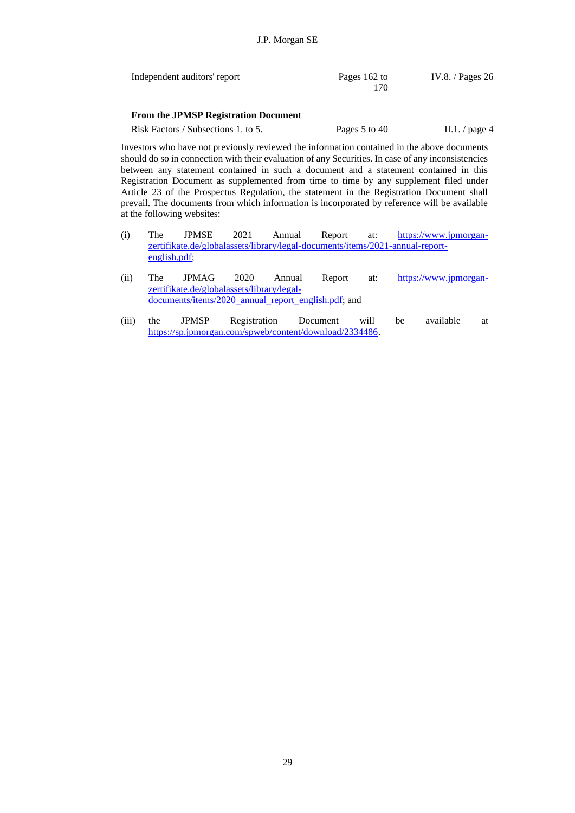| Independent auditors' report | Pages 162 to<br>170 | IV.8. / Pages $26$ |
|------------------------------|---------------------|--------------------|
|                              |                     |                    |

## **From the JPMSP Registration Document**

Risk Factors / Subsections 1. to 5. Pages 5 to [4](#page-3-0)0 II.1. / page 4

Investors who have not previously reviewed the information contained in the above documents should do so in connection with their evaluation of any Securities. In case of any inconsistencies between any statement contained in such a document and a statement contained in this Registration Document as supplemented from time to time by any supplement filed under Article 23 of the Prospectus Regulation, the statement in the Registration Document shall prevail. The documents from which information is incorporated by reference will be available at the following websites:

- (i) The JPMSE 2021 Annual Report at: [https://www.jpmorgan](https://protect-eu.mimecast.com/s/a9OdCPNqqtOGYlpfz1upv?domain=jpmorgan-zertifikate.de)[zertifikate.de/globalassets/library/legal-documents/items/2021-annual-report](https://protect-eu.mimecast.com/s/a9OdCPNqqtOGYlpfz1upv?domain=jpmorgan-zertifikate.de)[english.pdf;](https://protect-eu.mimecast.com/s/a9OdCPNqqtOGYlpfz1upv?domain=jpmorgan-zertifikate.de)
- (ii) The JPMAG 2020 Annual Report at: [https://www.jpmorgan](https://www.jpmorgan-zertifikate.de/globalassets/library/legal-documents/items/2020_annual_report_english.pdf)[zertifikate.de/globalassets/library/legal](https://www.jpmorgan-zertifikate.de/globalassets/library/legal-documents/items/2020_annual_report_english.pdf)[documents/items/2020\\_annual\\_report\\_english.pdf;](https://www.jpmorgan-zertifikate.de/globalassets/library/legal-documents/items/2020_annual_report_english.pdf) and
- (iii) the JPMSP Registration Document will be available at [https://sp.jpmorgan.com/spweb/content/download/2334486.](https://sp.jpmorgan.com/spweb/content/download/2334486)